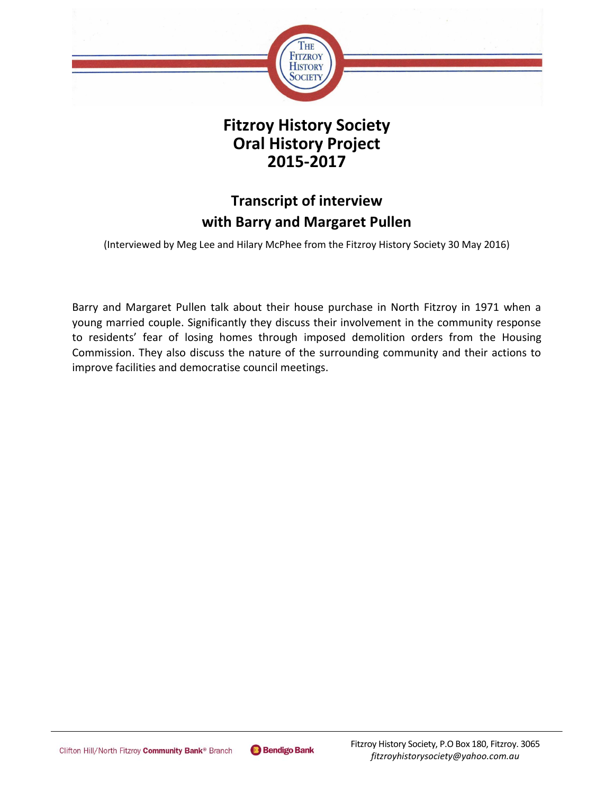

## **Fitzroy History Society Oral History Project 2015-2017**

# **Transcript of interview with Barry and Margaret Pullen**

(Interviewed by Meg Lee and Hilary McPhee from the Fitzroy History Society 30 May 2016)

Barry and Margaret Pullen talk about their house purchase in North Fitzroy in 1971 when a young married couple. Significantly they discuss their involvement in the community response to residents' fear of losing homes through imposed demolition orders from the Housing Commission. They also discuss the nature of the surrounding community and their actions to improve facilities and democratise council meetings.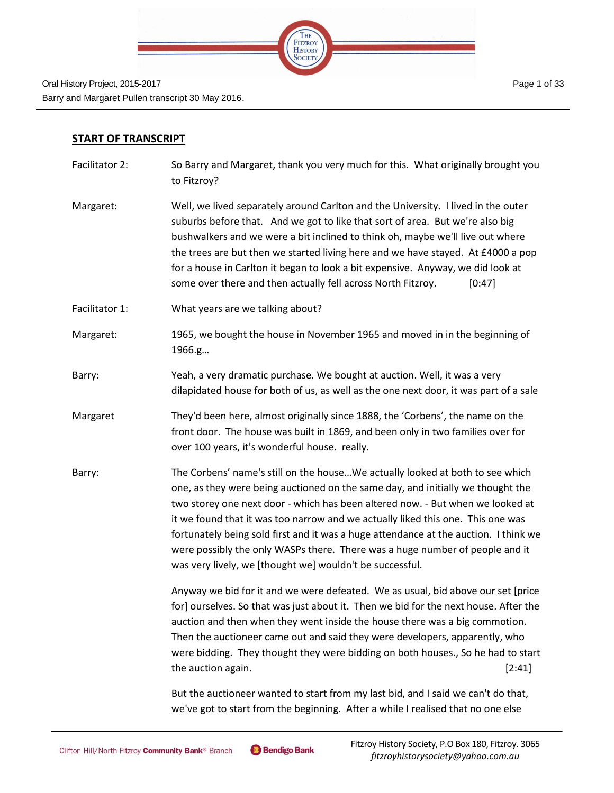

#### **START OF TRANSCRIPT**

- Facilitator 2: So Barry and Margaret, thank you very much for this. What originally brought you to Fitzroy?
- Margaret: Well, we lived separately around Carlton and the University. I lived in the outer suburbs before that. And we got to like that sort of area. But we're also big bushwalkers and we were a bit inclined to think oh, maybe we'll live out where the trees are but then we started living here and we have stayed. At £4000 a pop for a house in Carlton it began to look a bit expensive. Anyway, we did look at some over there and then actually fell across North Fitzroy. [0:47]
- Facilitator 1: What years are we talking about?
- Margaret: 1965, we bought the house in November 1965 and moved in in the beginning of 1966.g…
- Barry: Yeah, a very dramatic purchase. We bought at auction. Well, it was a very dilapidated house for both of us, as well as the one next door, it was part of a sale
- Margaret They'd been here, almost originally since 1888, the 'Corbens', the name on the front door. The house was built in 1869, and been only in two families over for over 100 years, it's wonderful house. really.
- Barry: The Corbens' name's still on the house…We actually looked at both to see which one, as they were being auctioned on the same day, and initially we thought the two storey one next door - which has been altered now. - But when we looked at it we found that it was too narrow and we actually liked this one. This one was fortunately being sold first and it was a huge attendance at the auction. I think we were possibly the only WASPs there. There was a huge number of people and it was very lively, we [thought we] wouldn't be successful.

Anyway we bid for it and we were defeated. We as usual, bid above our set [price for] ourselves. So that was just about it. Then we bid for the next house. After the auction and then when they went inside the house there was a big commotion. Then the auctioneer came out and said they were developers, apparently, who were bidding. They thought they were bidding on both houses., So he had to start the auction again. [2:41] **the auction again**.

But the auctioneer wanted to start from my last bid, and I said we can't do that, we've got to start from the beginning. After a while I realised that no one else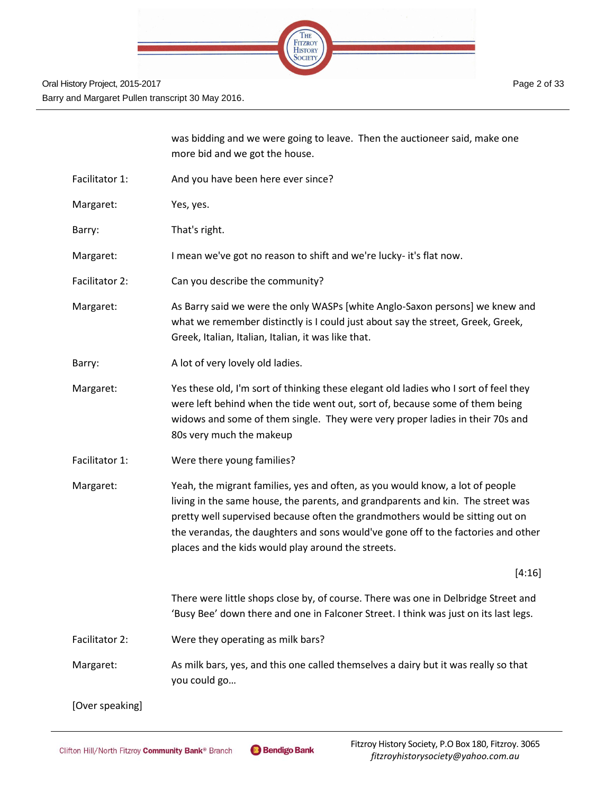

|                 | was bidding and we were going to leave. Then the auctioneer said, make one<br>more bid and we got the house.                                                                                                                                                                                                                                                                                 |
|-----------------|----------------------------------------------------------------------------------------------------------------------------------------------------------------------------------------------------------------------------------------------------------------------------------------------------------------------------------------------------------------------------------------------|
| Facilitator 1:  | And you have been here ever since?                                                                                                                                                                                                                                                                                                                                                           |
| Margaret:       | Yes, yes.                                                                                                                                                                                                                                                                                                                                                                                    |
| Barry:          | That's right.                                                                                                                                                                                                                                                                                                                                                                                |
| Margaret:       | I mean we've got no reason to shift and we're lucky- it's flat now.                                                                                                                                                                                                                                                                                                                          |
| Facilitator 2:  | Can you describe the community?                                                                                                                                                                                                                                                                                                                                                              |
| Margaret:       | As Barry said we were the only WASPs [white Anglo-Saxon persons] we knew and<br>what we remember distinctly is I could just about say the street, Greek, Greek,<br>Greek, Italian, Italian, Italian, it was like that.                                                                                                                                                                       |
| Barry:          | A lot of very lovely old ladies.                                                                                                                                                                                                                                                                                                                                                             |
| Margaret:       | Yes these old, I'm sort of thinking these elegant old ladies who I sort of feel they<br>were left behind when the tide went out, sort of, because some of them being<br>widows and some of them single. They were very proper ladies in their 70s and<br>80s very much the makeup                                                                                                            |
| Facilitator 1:  | Were there young families?                                                                                                                                                                                                                                                                                                                                                                   |
| Margaret:       | Yeah, the migrant families, yes and often, as you would know, a lot of people<br>living in the same house, the parents, and grandparents and kin. The street was<br>pretty well supervised because often the grandmothers would be sitting out on<br>the verandas, the daughters and sons would've gone off to the factories and other<br>places and the kids would play around the streets. |
|                 | [4:16]                                                                                                                                                                                                                                                                                                                                                                                       |
|                 | There were little shops close by, of course. There was one in Delbridge Street and<br>'Busy Bee' down there and one in Falconer Street. I think was just on its last legs.                                                                                                                                                                                                                   |
| Facilitator 2:  | Were they operating as milk bars?                                                                                                                                                                                                                                                                                                                                                            |
| Margaret:       | As milk bars, yes, and this one called themselves a dairy but it was really so that<br>you could go                                                                                                                                                                                                                                                                                          |
| [Over speaking] |                                                                                                                                                                                                                                                                                                                                                                                              |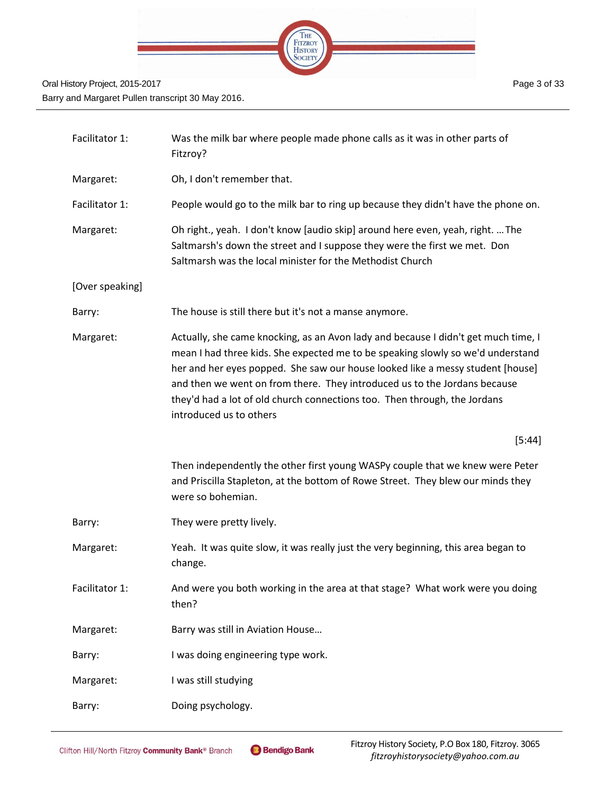

| Facilitator 1:  | Was the milk bar where people made phone calls as it was in other parts of<br>Fitzroy?                                                                                                                                                                                                                                                                                                                                                       |
|-----------------|----------------------------------------------------------------------------------------------------------------------------------------------------------------------------------------------------------------------------------------------------------------------------------------------------------------------------------------------------------------------------------------------------------------------------------------------|
| Margaret:       | Oh, I don't remember that.                                                                                                                                                                                                                                                                                                                                                                                                                   |
| Facilitator 1:  | People would go to the milk bar to ring up because they didn't have the phone on.                                                                                                                                                                                                                                                                                                                                                            |
| Margaret:       | Oh right., yeah. I don't know [audio skip] around here even, yeah, right.  The<br>Saltmarsh's down the street and I suppose they were the first we met. Don<br>Saltmarsh was the local minister for the Methodist Church                                                                                                                                                                                                                     |
| [Over speaking] |                                                                                                                                                                                                                                                                                                                                                                                                                                              |
| Barry:          | The house is still there but it's not a manse anymore.                                                                                                                                                                                                                                                                                                                                                                                       |
| Margaret:       | Actually, she came knocking, as an Avon lady and because I didn't get much time, I<br>mean I had three kids. She expected me to be speaking slowly so we'd understand<br>her and her eyes popped. She saw our house looked like a messy student [house]<br>and then we went on from there. They introduced us to the Jordans because<br>they'd had a lot of old church connections too. Then through, the Jordans<br>introduced us to others |
|                 |                                                                                                                                                                                                                                                                                                                                                                                                                                              |
|                 | [5:44]                                                                                                                                                                                                                                                                                                                                                                                                                                       |
|                 | Then independently the other first young WASPy couple that we knew were Peter<br>and Priscilla Stapleton, at the bottom of Rowe Street. They blew our minds they<br>were so bohemian.                                                                                                                                                                                                                                                        |
| Barry:          | They were pretty lively.                                                                                                                                                                                                                                                                                                                                                                                                                     |
| Margaret:       | Yeah. It was quite slow, it was really just the very beginning, this area began to<br>change.                                                                                                                                                                                                                                                                                                                                                |
| Facilitator 1:  | And were you both working in the area at that stage? What work were you doing<br>then?                                                                                                                                                                                                                                                                                                                                                       |
| Margaret:       | Barry was still in Aviation House                                                                                                                                                                                                                                                                                                                                                                                                            |
| Barry:          | I was doing engineering type work.                                                                                                                                                                                                                                                                                                                                                                                                           |
| Margaret:       | I was still studying                                                                                                                                                                                                                                                                                                                                                                                                                         |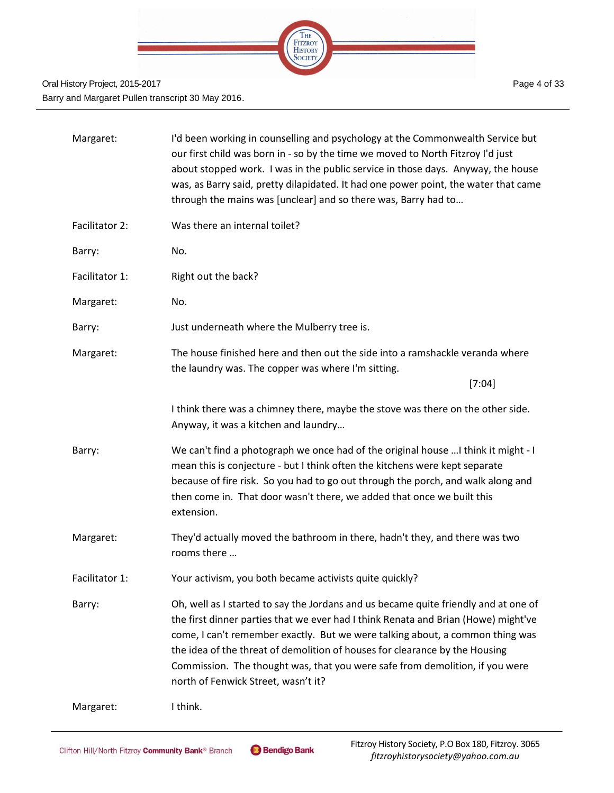

| Margaret:      | I'd been working in counselling and psychology at the Commonwealth Service but<br>our first child was born in - so by the time we moved to North Fitzroy I'd just<br>about stopped work. I was in the public service in those days. Anyway, the house<br>was, as Barry said, pretty dilapidated. It had one power point, the water that came<br>through the mains was [unclear] and so there was, Barry had to                                                   |
|----------------|------------------------------------------------------------------------------------------------------------------------------------------------------------------------------------------------------------------------------------------------------------------------------------------------------------------------------------------------------------------------------------------------------------------------------------------------------------------|
| Facilitator 2: | Was there an internal toilet?                                                                                                                                                                                                                                                                                                                                                                                                                                    |
| Barry:         | No.                                                                                                                                                                                                                                                                                                                                                                                                                                                              |
| Facilitator 1: | Right out the back?                                                                                                                                                                                                                                                                                                                                                                                                                                              |
| Margaret:      | No.                                                                                                                                                                                                                                                                                                                                                                                                                                                              |
| Barry:         | Just underneath where the Mulberry tree is.                                                                                                                                                                                                                                                                                                                                                                                                                      |
| Margaret:      | The house finished here and then out the side into a ramshackle veranda where<br>the laundry was. The copper was where I'm sitting.                                                                                                                                                                                                                                                                                                                              |
|                | [7:04]                                                                                                                                                                                                                                                                                                                                                                                                                                                           |
|                | I think there was a chimney there, maybe the stove was there on the other side.<br>Anyway, it was a kitchen and laundry                                                                                                                                                                                                                                                                                                                                          |
| Barry:         | We can't find a photograph we once had of the original house  I think it might - I<br>mean this is conjecture - but I think often the kitchens were kept separate<br>because of fire risk. So you had to go out through the porch, and walk along and<br>then come in. That door wasn't there, we added that once we built this<br>extension.                                                                                                                    |
| Margaret:      | They'd actually moved the bathroom in there, hadn't they, and there was two<br>rooms there                                                                                                                                                                                                                                                                                                                                                                       |
| Facilitator 1: | Your activism, you both became activists quite quickly?                                                                                                                                                                                                                                                                                                                                                                                                          |
| Barry:         | Oh, well as I started to say the Jordans and us became quite friendly and at one of<br>the first dinner parties that we ever had I think Renata and Brian (Howe) might've<br>come, I can't remember exactly. But we were talking about, a common thing was<br>the idea of the threat of demolition of houses for clearance by the Housing<br>Commission. The thought was, that you were safe from demolition, if you were<br>north of Fenwick Street, wasn't it? |
| Margaret:      | I think.                                                                                                                                                                                                                                                                                                                                                                                                                                                         |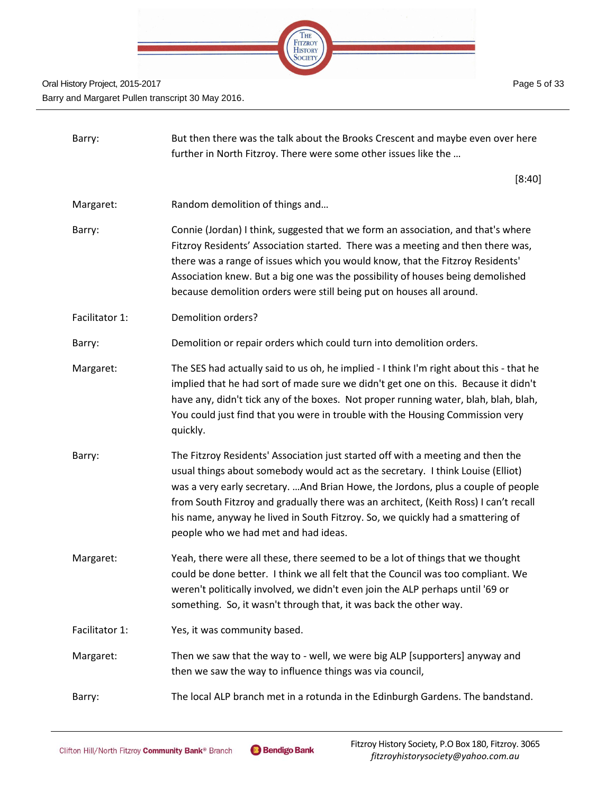

| Barry:         | But then there was the talk about the Brooks Crescent and maybe even over here<br>further in North Fitzroy. There were some other issues like the                                                                                                                                                                                                                                                                                                                        |
|----------------|--------------------------------------------------------------------------------------------------------------------------------------------------------------------------------------------------------------------------------------------------------------------------------------------------------------------------------------------------------------------------------------------------------------------------------------------------------------------------|
|                | [8:40]                                                                                                                                                                                                                                                                                                                                                                                                                                                                   |
| Margaret:      | Random demolition of things and                                                                                                                                                                                                                                                                                                                                                                                                                                          |
| Barry:         | Connie (Jordan) I think, suggested that we form an association, and that's where<br>Fitzroy Residents' Association started. There was a meeting and then there was,<br>there was a range of issues which you would know, that the Fitzroy Residents'<br>Association knew. But a big one was the possibility of houses being demolished<br>because demolition orders were still being put on houses all around.                                                           |
| Facilitator 1: | Demolition orders?                                                                                                                                                                                                                                                                                                                                                                                                                                                       |
| Barry:         | Demolition or repair orders which could turn into demolition orders.                                                                                                                                                                                                                                                                                                                                                                                                     |
| Margaret:      | The SES had actually said to us oh, he implied - I think I'm right about this - that he<br>implied that he had sort of made sure we didn't get one on this. Because it didn't<br>have any, didn't tick any of the boxes. Not proper running water, blah, blah, blah,<br>You could just find that you were in trouble with the Housing Commission very<br>quickly.                                                                                                        |
| Barry:         | The Fitzroy Residents' Association just started off with a meeting and then the<br>usual things about somebody would act as the secretary. I think Louise (Elliot)<br>was a very early secretary. And Brian Howe, the Jordons, plus a couple of people<br>from South Fitzroy and gradually there was an architect, (Keith Ross) I can't recall<br>his name, anyway he lived in South Fitzroy. So, we quickly had a smattering of<br>people who we had met and had ideas. |
| Margaret:      | Yeah, there were all these, there seemed to be a lot of things that we thought<br>could be done better. I think we all felt that the Council was too compliant. We<br>weren't politically involved, we didn't even join the ALP perhaps until '69 or<br>something. So, it wasn't through that, it was back the other way.                                                                                                                                                |
| Facilitator 1: | Yes, it was community based.                                                                                                                                                                                                                                                                                                                                                                                                                                             |
| Margaret:      | Then we saw that the way to - well, we were big ALP [supporters] anyway and<br>then we saw the way to influence things was via council,                                                                                                                                                                                                                                                                                                                                  |
| Barry:         | The local ALP branch met in a rotunda in the Edinburgh Gardens. The bandstand.                                                                                                                                                                                                                                                                                                                                                                                           |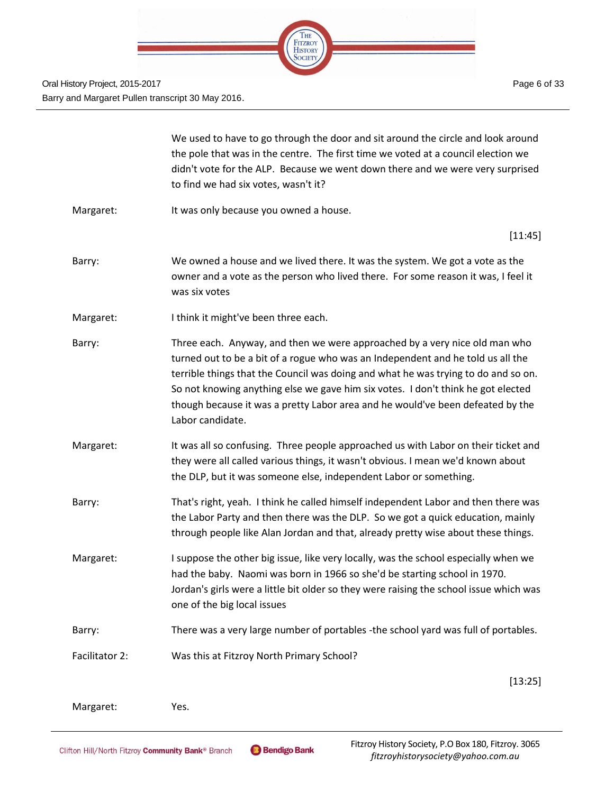

|                | We used to have to go through the door and sit around the circle and look around<br>the pole that was in the centre. The first time we voted at a council election we<br>didn't vote for the ALP. Because we went down there and we were very surprised<br>to find we had six votes, wasn't it?                                                                                                                                               |
|----------------|-----------------------------------------------------------------------------------------------------------------------------------------------------------------------------------------------------------------------------------------------------------------------------------------------------------------------------------------------------------------------------------------------------------------------------------------------|
| Margaret:      | It was only because you owned a house.                                                                                                                                                                                                                                                                                                                                                                                                        |
|                | [11:45]                                                                                                                                                                                                                                                                                                                                                                                                                                       |
| Barry:         | We owned a house and we lived there. It was the system. We got a vote as the<br>owner and a vote as the person who lived there. For some reason it was, I feel it<br>was six votes                                                                                                                                                                                                                                                            |
| Margaret:      | I think it might've been three each.                                                                                                                                                                                                                                                                                                                                                                                                          |
| Barry:         | Three each. Anyway, and then we were approached by a very nice old man who<br>turned out to be a bit of a rogue who was an Independent and he told us all the<br>terrible things that the Council was doing and what he was trying to do and so on.<br>So not knowing anything else we gave him six votes. I don't think he got elected<br>though because it was a pretty Labor area and he would've been defeated by the<br>Labor candidate. |
| Margaret:      | It was all so confusing. Three people approached us with Labor on their ticket and<br>they were all called various things, it wasn't obvious. I mean we'd known about<br>the DLP, but it was someone else, independent Labor or something.                                                                                                                                                                                                    |
| Barry:         | That's right, yeah. I think he called himself independent Labor and then there was<br>the Labor Party and then there was the DLP. So we got a quick education, mainly<br>through people like Alan Jordan and that, already pretty wise about these things.                                                                                                                                                                                    |
| Margaret:      | I suppose the other big issue, like very locally, was the school especially when we<br>had the baby. Naomi was born in 1966 so she'd be starting school in 1970.<br>Jordan's girls were a little bit older so they were raising the school issue which was<br>one of the big local issues                                                                                                                                                     |
| Barry:         | There was a very large number of portables -the school yard was full of portables.                                                                                                                                                                                                                                                                                                                                                            |
| Facilitator 2: | Was this at Fitzroy North Primary School?                                                                                                                                                                                                                                                                                                                                                                                                     |
|                | [13:25]                                                                                                                                                                                                                                                                                                                                                                                                                                       |
| Margaret:      | Yes.                                                                                                                                                                                                                                                                                                                                                                                                                                          |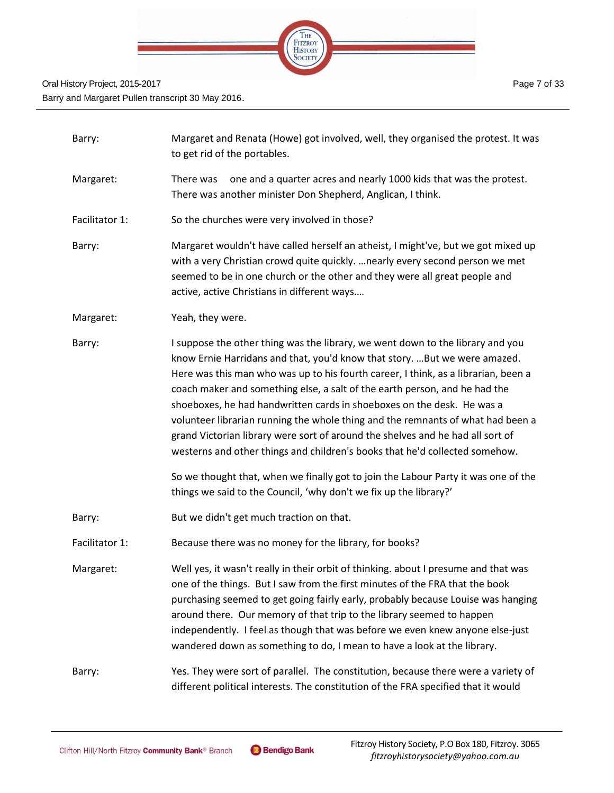

| Barry:         | Margaret and Renata (Howe) got involved, well, they organised the protest. It was<br>to get rid of the portables.                                                                                                                                                                                                                                                                                                                                                                                                                                                                                                                                                                                                                                                                                                         |
|----------------|---------------------------------------------------------------------------------------------------------------------------------------------------------------------------------------------------------------------------------------------------------------------------------------------------------------------------------------------------------------------------------------------------------------------------------------------------------------------------------------------------------------------------------------------------------------------------------------------------------------------------------------------------------------------------------------------------------------------------------------------------------------------------------------------------------------------------|
| Margaret:      | one and a quarter acres and nearly 1000 kids that was the protest.<br>There was<br>There was another minister Don Shepherd, Anglican, I think.                                                                                                                                                                                                                                                                                                                                                                                                                                                                                                                                                                                                                                                                            |
| Facilitator 1: | So the churches were very involved in those?                                                                                                                                                                                                                                                                                                                                                                                                                                                                                                                                                                                                                                                                                                                                                                              |
| Barry:         | Margaret wouldn't have called herself an atheist, I might've, but we got mixed up<br>with a very Christian crowd quite quickly.  nearly every second person we met<br>seemed to be in one church or the other and they were all great people and<br>active, active Christians in different ways                                                                                                                                                                                                                                                                                                                                                                                                                                                                                                                           |
| Margaret:      | Yeah, they were.                                                                                                                                                                                                                                                                                                                                                                                                                                                                                                                                                                                                                                                                                                                                                                                                          |
| Barry:         | I suppose the other thing was the library, we went down to the library and you<br>know Ernie Harridans and that, you'd know that story.  But we were amazed.<br>Here was this man who was up to his fourth career, I think, as a librarian, been a<br>coach maker and something else, a salt of the earth person, and he had the<br>shoeboxes, he had handwritten cards in shoeboxes on the desk. He was a<br>volunteer librarian running the whole thing and the remnants of what had been a<br>grand Victorian library were sort of around the shelves and he had all sort of<br>westerns and other things and children's books that he'd collected somehow.<br>So we thought that, when we finally got to join the Labour Party it was one of the<br>things we said to the Council, 'why don't we fix up the library?' |
| Barry:         | But we didn't get much traction on that.                                                                                                                                                                                                                                                                                                                                                                                                                                                                                                                                                                                                                                                                                                                                                                                  |
| Facilitator 1: | Because there was no money for the library, for books?                                                                                                                                                                                                                                                                                                                                                                                                                                                                                                                                                                                                                                                                                                                                                                    |
| Margaret:      | Well yes, it wasn't really in their orbit of thinking. about I presume and that was<br>one of the things. But I saw from the first minutes of the FRA that the book<br>purchasing seemed to get going fairly early, probably because Louise was hanging<br>around there. Our memory of that trip to the library seemed to happen<br>independently. I feel as though that was before we even knew anyone else-just<br>wandered down as something to do, I mean to have a look at the library.                                                                                                                                                                                                                                                                                                                              |
| Barry:         | Yes. They were sort of parallel. The constitution, because there were a variety of<br>different political interests. The constitution of the FRA specified that it would                                                                                                                                                                                                                                                                                                                                                                                                                                                                                                                                                                                                                                                  |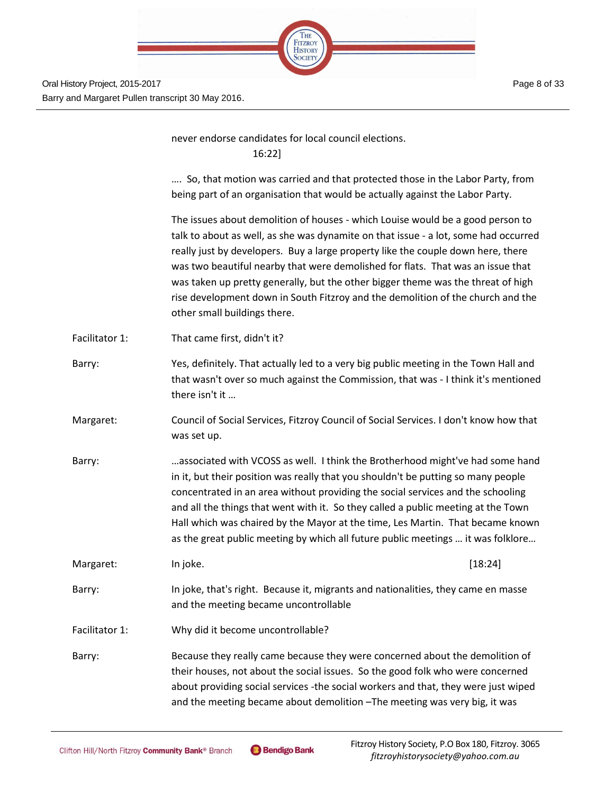

|                | never endorse candidates for local council elections.<br>16:22]                                                                                                                                                                                                                                                                                                                                                                                                                                                                                     |
|----------------|-----------------------------------------------------------------------------------------------------------------------------------------------------------------------------------------------------------------------------------------------------------------------------------------------------------------------------------------------------------------------------------------------------------------------------------------------------------------------------------------------------------------------------------------------------|
|                | So, that motion was carried and that protected those in the Labor Party, from<br>being part of an organisation that would be actually against the Labor Party.                                                                                                                                                                                                                                                                                                                                                                                      |
|                | The issues about demolition of houses - which Louise would be a good person to<br>talk to about as well, as she was dynamite on that issue - a lot, some had occurred<br>really just by developers. Buy a large property like the couple down here, there<br>was two beautiful nearby that were demolished for flats. That was an issue that<br>was taken up pretty generally, but the other bigger theme was the threat of high<br>rise development down in South Fitzroy and the demolition of the church and the<br>other small buildings there. |
| Facilitator 1: | That came first, didn't it?                                                                                                                                                                                                                                                                                                                                                                                                                                                                                                                         |
| Barry:         | Yes, definitely. That actually led to a very big public meeting in the Town Hall and<br>that wasn't over so much against the Commission, that was - I think it's mentioned<br>there isn't it                                                                                                                                                                                                                                                                                                                                                        |
| Margaret:      | Council of Social Services, Fitzroy Council of Social Services. I don't know how that<br>was set up.                                                                                                                                                                                                                                                                                                                                                                                                                                                |
| Barry:         | associated with VCOSS as well. I think the Brotherhood might've had some hand<br>in it, but their position was really that you shouldn't be putting so many people<br>concentrated in an area without providing the social services and the schooling<br>and all the things that went with it. So they called a public meeting at the Town<br>Hall which was chaired by the Mayor at the time, Les Martin. That became known<br>as the great public meeting by which all future public meetings  it was folklore                                    |
| Margaret:      | In joke.<br>[18:24]                                                                                                                                                                                                                                                                                                                                                                                                                                                                                                                                 |
| Barry:         | In joke, that's right. Because it, migrants and nationalities, they came en masse<br>and the meeting became uncontrollable                                                                                                                                                                                                                                                                                                                                                                                                                          |
| Facilitator 1: | Why did it become uncontrollable?                                                                                                                                                                                                                                                                                                                                                                                                                                                                                                                   |
| Barry:         | Because they really came because they were concerned about the demolition of<br>their houses, not about the social issues. So the good folk who were concerned<br>about providing social services -the social workers and that, they were just wiped<br>and the meeting became about demolition - The meeting was very big, it was                                                                                                                                                                                                                  |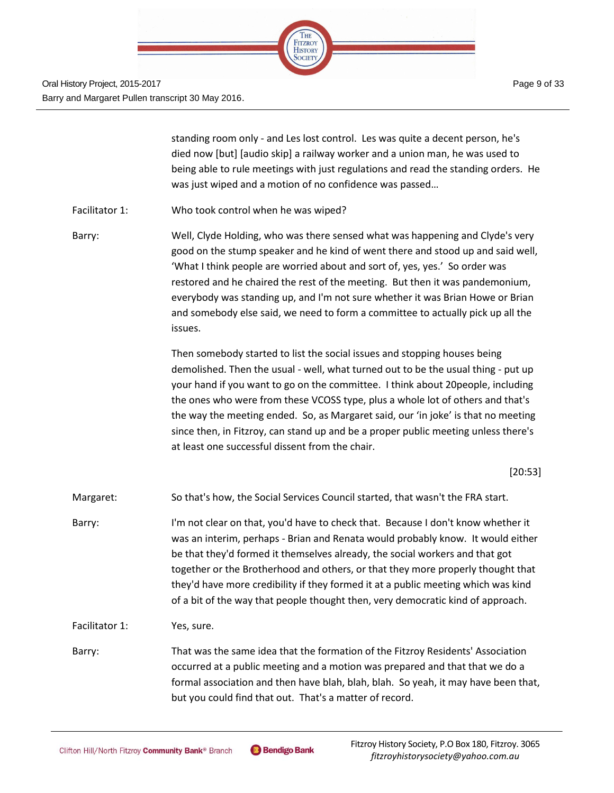

standing room only - and Les lost control. Les was quite a decent person, he's died now [but] [audio skip] a railway worker and a union man, he was used to being able to rule meetings with just regulations and read the standing orders. He was just wiped and a motion of no confidence was passed…

Facilitator 1: Who took control when he was wiped?

Barry: Well, Clyde Holding, who was there sensed what was happening and Clyde's very good on the stump speaker and he kind of went there and stood up and said well, 'What I think people are worried about and sort of, yes, yes.' So order was restored and he chaired the rest of the meeting. But then it was pandemonium, everybody was standing up, and I'm not sure whether it was Brian Howe or Brian and somebody else said, we need to form a committee to actually pick up all the issues.

> Then somebody started to list the social issues and stopping houses being demolished. Then the usual - well, what turned out to be the usual thing - put up your hand if you want to go on the committee. I think about 20people, including the ones who were from these VCOSS type, plus a whole lot of others and that's the way the meeting ended. So, as Margaret said, our 'in joke' is that no meeting since then, in Fitzroy, can stand up and be a proper public meeting unless there's at least one successful dissent from the chair.

> > [20:53]

- Margaret: So that's how, the Social Services Council started, that wasn't the FRA start.
- Barry: I'm not clear on that, you'd have to check that. Because I don't know whether it was an interim, perhaps - Brian and Renata would probably know. It would either be that they'd formed it themselves already, the social workers and that got together or the Brotherhood and others, or that they more properly thought that they'd have more credibility if they formed it at a public meeting which was kind of a bit of the way that people thought then, very democratic kind of approach.
- Facilitator 1: Yes, sure.
- Barry: That was the same idea that the formation of the Fitzroy Residents' Association occurred at a public meeting and a motion was prepared and that that we do a formal association and then have blah, blah, blah. So yeah, it may have been that, but you could find that out. That's a matter of record.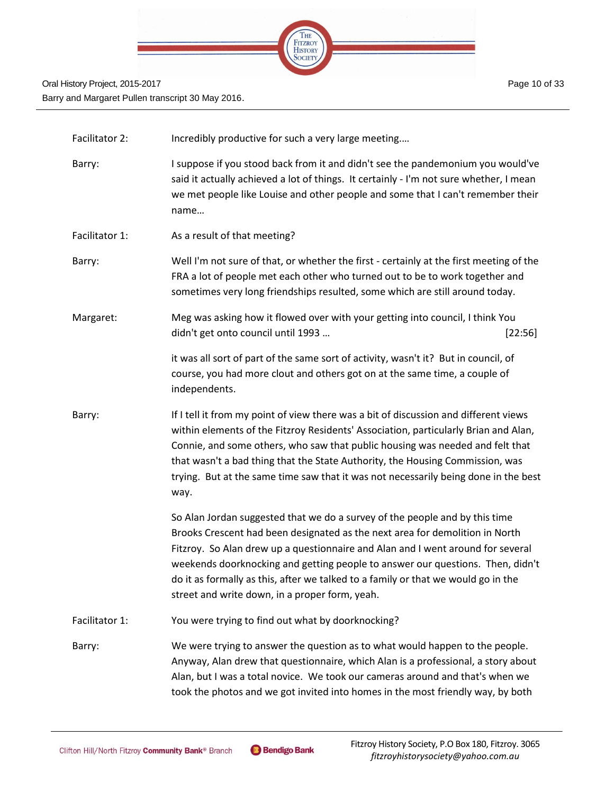

- Facilitator 2: Incredibly productive for such a very large meeting....
- Barry: I suppose if you stood back from it and didn't see the pandemonium you would've said it actually achieved a lot of things. It certainly - I'm not sure whether, I mean we met people like Louise and other people and some that I can't remember their name…
- Facilitator 1: As a result of that meeting?
- Barry: Well I'm not sure of that, or whether the first certainly at the first meeting of the FRA a lot of people met each other who turned out to be to work together and sometimes very long friendships resulted, some which are still around today.
- Margaret: Meg was asking how it flowed over with your getting into council, I think You didn't get onto council until 1993 ... [22:56]

it was all sort of part of the same sort of activity, wasn't it? But in council, of course, you had more clout and others got on at the same time, a couple of independents.

Barry: If I tell it from my point of view there was a bit of discussion and different views within elements of the Fitzroy Residents' Association, particularly Brian and Alan, Connie, and some others, who saw that public housing was needed and felt that that wasn't a bad thing that the State Authority, the Housing Commission, was trying. But at the same time saw that it was not necessarily being done in the best way.

> So Alan Jordan suggested that we do a survey of the people and by this time Brooks Crescent had been designated as the next area for demolition in North Fitzroy. So Alan drew up a questionnaire and Alan and I went around for several weekends doorknocking and getting people to answer our questions. Then, didn't do it as formally as this, after we talked to a family or that we would go in the street and write down, in a proper form, yeah.

Facilitator 1: You were trying to find out what by doorknocking?

Barry: We were trying to answer the question as to what would happen to the people. Anyway, Alan drew that questionnaire, which Alan is a professional, a story about Alan, but I was a total novice. We took our cameras around and that's when we took the photos and we got invited into homes in the most friendly way, by both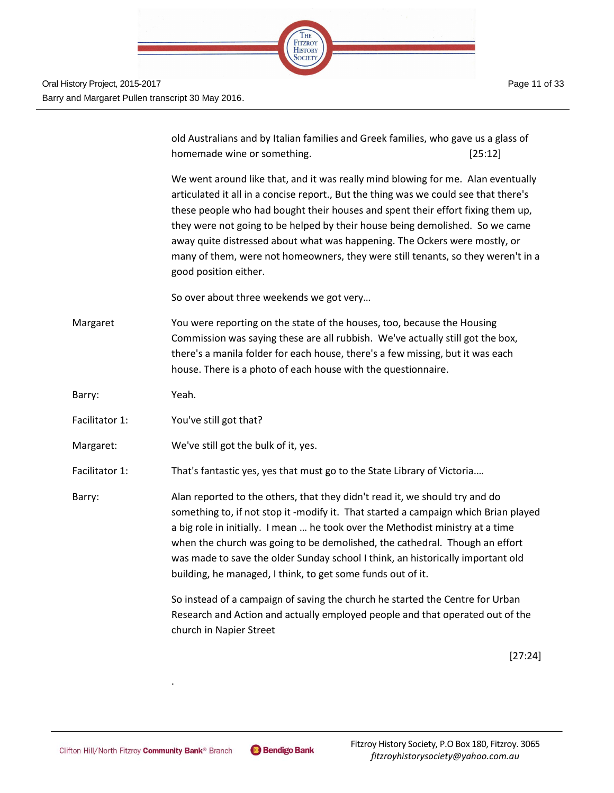

old Australians and by Italian families and Greek families, who gave us a glass of homemade wine or something. The same of the same state of  $[25:12]$ 

We went around like that, and it was really mind blowing for me. Alan eventually articulated it all in a concise report., But the thing was we could see that there's these people who had bought their houses and spent their effort fixing them up, they were not going to be helped by their house being demolished. So we came away quite distressed about what was happening. The Ockers were mostly, or many of them, were not homeowners, they were still tenants, so they weren't in a good position either.

So over about three weekends we got very…

Margaret You were reporting on the state of the houses, too, because the Housing Commission was saying these are all rubbish. We've actually still got the box, there's a manila folder for each house, there's a few missing, but it was each house. There is a photo of each house with the questionnaire.

Barry: Yeah.

- Facilitator 1: You've still got that?
- Margaret: We've still got the bulk of it, yes.
- Facilitator 1: That's fantastic yes, yes that must go to the State Library of Victoria....

Barry: Alan reported to the others, that they didn't read it, we should try and do something to, if not stop it -modify it. That started a campaign which Brian played a big role in initially. I mean … he took over the Methodist ministry at a time when the church was going to be demolished, the cathedral. Though an effort was made to save the older Sunday school I think, an historically important old building, he managed, I think, to get some funds out of it.

> So instead of a campaign of saving the church he started the Centre for Urban Research and Action and actually employed people and that operated out of the church in Napier Street

> > [27:24]

.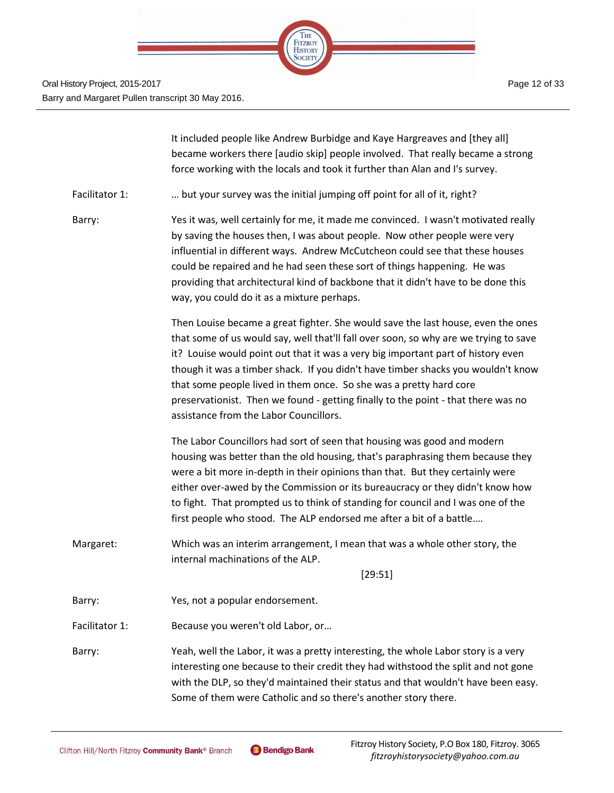

It included people like Andrew Burbidge and Kaye Hargreaves and [they all] became workers there [audio skip] people involved. That really became a strong force working with the locals and took it further than Alan and I's survey.

Facilitator 1: … but your survey was the initial jumping off point for all of it, right?

Barry: Yes it was, well certainly for me, it made me convinced. I wasn't motivated really by saving the houses then, I was about people. Now other people were very influential in different ways. Andrew McCutcheon could see that these houses could be repaired and he had seen these sort of things happening. He was providing that architectural kind of backbone that it didn't have to be done this way, you could do it as a mixture perhaps.

> Then Louise became a great fighter. She would save the last house, even the ones that some of us would say, well that'll fall over soon, so why are we trying to save it? Louise would point out that it was a very big important part of history even though it was a timber shack. If you didn't have timber shacks you wouldn't know that some people lived in them once. So she was a pretty hard core preservationist. Then we found - getting finally to the point - that there was no assistance from the Labor Councillors.

The Labor Councillors had sort of seen that housing was good and modern housing was better than the old housing, that's paraphrasing them because they were a bit more in-depth in their opinions than that. But they certainly were either over-awed by the Commission or its bureaucracy or they didn't know how to fight. That prompted us to think of standing for council and I was one of the first people who stood. The ALP endorsed me after a bit of a battle.…

Margaret: Which was an interim arrangement, I mean that was a whole other story, the internal machinations of the ALP.

[29:51]

Barry: Yes, not a popular endorsement.

Facilitator 1: Because you weren't old Labor, or...

Barry: Yeah, well the Labor, it was a pretty interesting, the whole Labor story is a very interesting one because to their credit they had withstood the split and not gone with the DLP, so they'd maintained their status and that wouldn't have been easy. Some of them were Catholic and so there's another story there.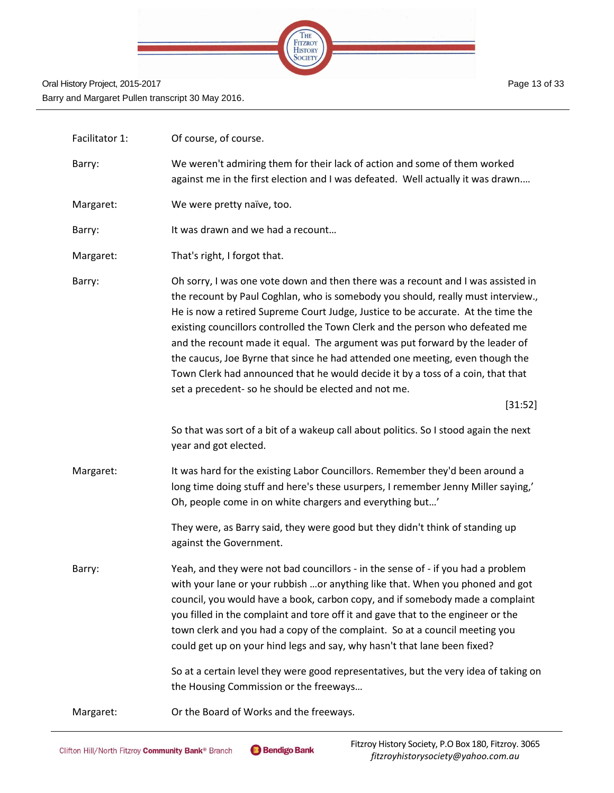

| Facilitator 1: | Of course, of course.                                                                                                                                                                                                                                                                                                                                                                                                                                                                                                                                                                                                                                            |
|----------------|------------------------------------------------------------------------------------------------------------------------------------------------------------------------------------------------------------------------------------------------------------------------------------------------------------------------------------------------------------------------------------------------------------------------------------------------------------------------------------------------------------------------------------------------------------------------------------------------------------------------------------------------------------------|
| Barry:         | We weren't admiring them for their lack of action and some of them worked<br>against me in the first election and I was defeated. Well actually it was drawn                                                                                                                                                                                                                                                                                                                                                                                                                                                                                                     |
| Margaret:      | We were pretty naïve, too.                                                                                                                                                                                                                                                                                                                                                                                                                                                                                                                                                                                                                                       |
| Barry:         | It was drawn and we had a recount                                                                                                                                                                                                                                                                                                                                                                                                                                                                                                                                                                                                                                |
| Margaret:      | That's right, I forgot that.                                                                                                                                                                                                                                                                                                                                                                                                                                                                                                                                                                                                                                     |
| Barry:         | Oh sorry, I was one vote down and then there was a recount and I was assisted in<br>the recount by Paul Coghlan, who is somebody you should, really must interview.,<br>He is now a retired Supreme Court Judge, Justice to be accurate. At the time the<br>existing councillors controlled the Town Clerk and the person who defeated me<br>and the recount made it equal. The argument was put forward by the leader of<br>the caucus, Joe Byrne that since he had attended one meeting, even though the<br>Town Clerk had announced that he would decide it by a toss of a coin, that that<br>set a precedent- so he should be elected and not me.<br>[31:52] |
|                | So that was sort of a bit of a wakeup call about politics. So I stood again the next<br>year and got elected.                                                                                                                                                                                                                                                                                                                                                                                                                                                                                                                                                    |
| Margaret:      | It was hard for the existing Labor Councillors. Remember they'd been around a<br>long time doing stuff and here's these usurpers, I remember Jenny Miller saying,'<br>Oh, people come in on white chargers and everything but'                                                                                                                                                                                                                                                                                                                                                                                                                                   |
|                | They were, as Barry said, they were good but they didn't think of standing up<br>against the Government.                                                                                                                                                                                                                                                                                                                                                                                                                                                                                                                                                         |
| Barry:         | Yeah, and they were not bad councillors - in the sense of - if you had a problem<br>with your lane or your rubbish or anything like that. When you phoned and got<br>council, you would have a book, carbon copy, and if somebody made a complaint<br>you filled in the complaint and tore off it and gave that to the engineer or the<br>town clerk and you had a copy of the complaint. So at a council meeting you<br>could get up on your hind legs and say, why hasn't that lane been fixed?<br>So at a certain level they were good representatives, but the very idea of taking on<br>the Housing Commission or the freeways                              |
| Margaret:      | Or the Board of Works and the freeways.                                                                                                                                                                                                                                                                                                                                                                                                                                                                                                                                                                                                                          |
|                |                                                                                                                                                                                                                                                                                                                                                                                                                                                                                                                                                                                                                                                                  |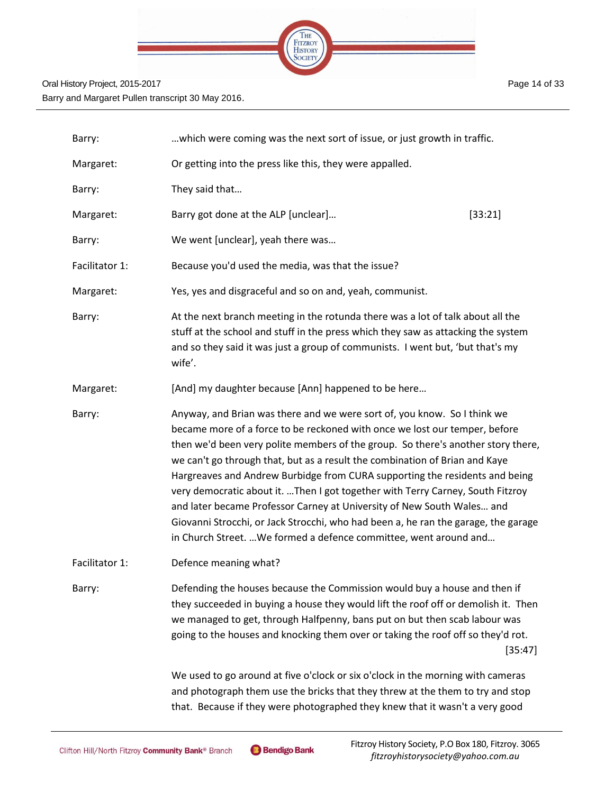

| Barry:         | which were coming was the next sort of issue, or just growth in traffic.                                                                                                                                                                                                                                                                                                                                                                                                                                                                                                                                                                                                                                                        |         |
|----------------|---------------------------------------------------------------------------------------------------------------------------------------------------------------------------------------------------------------------------------------------------------------------------------------------------------------------------------------------------------------------------------------------------------------------------------------------------------------------------------------------------------------------------------------------------------------------------------------------------------------------------------------------------------------------------------------------------------------------------------|---------|
| Margaret:      | Or getting into the press like this, they were appalled.                                                                                                                                                                                                                                                                                                                                                                                                                                                                                                                                                                                                                                                                        |         |
| Barry:         | They said that                                                                                                                                                                                                                                                                                                                                                                                                                                                                                                                                                                                                                                                                                                                  |         |
| Margaret:      | Barry got done at the ALP [unclear]<br>[33:21]                                                                                                                                                                                                                                                                                                                                                                                                                                                                                                                                                                                                                                                                                  |         |
| Barry:         | We went [unclear], yeah there was                                                                                                                                                                                                                                                                                                                                                                                                                                                                                                                                                                                                                                                                                               |         |
| Facilitator 1: | Because you'd used the media, was that the issue?                                                                                                                                                                                                                                                                                                                                                                                                                                                                                                                                                                                                                                                                               |         |
| Margaret:      | Yes, yes and disgraceful and so on and, yeah, communist.                                                                                                                                                                                                                                                                                                                                                                                                                                                                                                                                                                                                                                                                        |         |
| Barry:         | At the next branch meeting in the rotunda there was a lot of talk about all the<br>stuff at the school and stuff in the press which they saw as attacking the system<br>and so they said it was just a group of communists. I went but, 'but that's my<br>wife'.                                                                                                                                                                                                                                                                                                                                                                                                                                                                |         |
| Margaret:      | [And] my daughter because [Ann] happened to be here                                                                                                                                                                                                                                                                                                                                                                                                                                                                                                                                                                                                                                                                             |         |
| Barry:         | Anyway, and Brian was there and we were sort of, you know. So I think we<br>became more of a force to be reckoned with once we lost our temper, before<br>then we'd been very polite members of the group. So there's another story there,<br>we can't go through that, but as a result the combination of Brian and Kaye<br>Hargreaves and Andrew Burbidge from CURA supporting the residents and being<br>very democratic about it. Then I got together with Terry Carney, South Fitzroy<br>and later became Professor Carney at University of New South Wales and<br>Giovanni Strocchi, or Jack Strocchi, who had been a, he ran the garage, the garage<br>in Church Street.  We formed a defence committee, went around and |         |
| Facilitator 1: | Defence meaning what?                                                                                                                                                                                                                                                                                                                                                                                                                                                                                                                                                                                                                                                                                                           |         |
| Barry:         | Defending the houses because the Commission would buy a house and then if<br>they succeeded in buying a house they would lift the roof off or demolish it. Then<br>we managed to get, through Halfpenny, bans put on but then scab labour was<br>going to the houses and knocking them over or taking the roof off so they'd rot.                                                                                                                                                                                                                                                                                                                                                                                               | [35:47] |
|                | We used to go around at five o'clock or six o'clock in the morning with cameras<br>and photograph them use the bricks that they threw at the them to try and stop<br>that. Because if they were photographed they knew that it wasn't a very good                                                                                                                                                                                                                                                                                                                                                                                                                                                                               |         |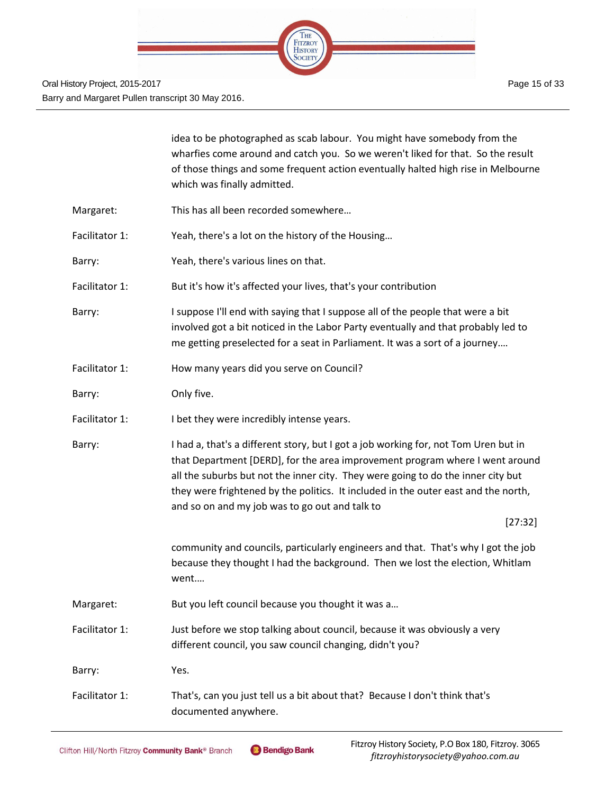

|                | idea to be photographed as scab labour. You might have somebody from the<br>wharfies come around and catch you. So we weren't liked for that. So the result<br>of those things and some frequent action eventually halted high rise in Melbourne<br>which was finally admitted.                                                                                                                            |
|----------------|------------------------------------------------------------------------------------------------------------------------------------------------------------------------------------------------------------------------------------------------------------------------------------------------------------------------------------------------------------------------------------------------------------|
| Margaret:      | This has all been recorded somewhere                                                                                                                                                                                                                                                                                                                                                                       |
| Facilitator 1: | Yeah, there's a lot on the history of the Housing                                                                                                                                                                                                                                                                                                                                                          |
| Barry:         | Yeah, there's various lines on that.                                                                                                                                                                                                                                                                                                                                                                       |
| Facilitator 1: | But it's how it's affected your lives, that's your contribution                                                                                                                                                                                                                                                                                                                                            |
| Barry:         | I suppose I'll end with saying that I suppose all of the people that were a bit<br>involved got a bit noticed in the Labor Party eventually and that probably led to<br>me getting preselected for a seat in Parliament. It was a sort of a journey                                                                                                                                                        |
| Facilitator 1: | How many years did you serve on Council?                                                                                                                                                                                                                                                                                                                                                                   |
| Barry:         | Only five.                                                                                                                                                                                                                                                                                                                                                                                                 |
| Facilitator 1: | I bet they were incredibly intense years.                                                                                                                                                                                                                                                                                                                                                                  |
| Barry:         | I had a, that's a different story, but I got a job working for, not Tom Uren but in<br>that Department [DERD], for the area improvement program where I went around<br>all the suburbs but not the inner city. They were going to do the inner city but<br>they were frightened by the politics. It included in the outer east and the north,<br>and so on and my job was to go out and talk to<br>[27:32] |
|                | community and councils, particularly engineers and that. That's why I got the job<br>because they thought I had the background. Then we lost the election, Whitlam<br>went                                                                                                                                                                                                                                 |
| Margaret:      | But you left council because you thought it was a                                                                                                                                                                                                                                                                                                                                                          |
| Facilitator 1: | Just before we stop talking about council, because it was obviously a very<br>different council, you saw council changing, didn't you?                                                                                                                                                                                                                                                                     |
| Barry:         | Yes.                                                                                                                                                                                                                                                                                                                                                                                                       |
| Facilitator 1: | That's, can you just tell us a bit about that? Because I don't think that's<br>documented anywhere.                                                                                                                                                                                                                                                                                                        |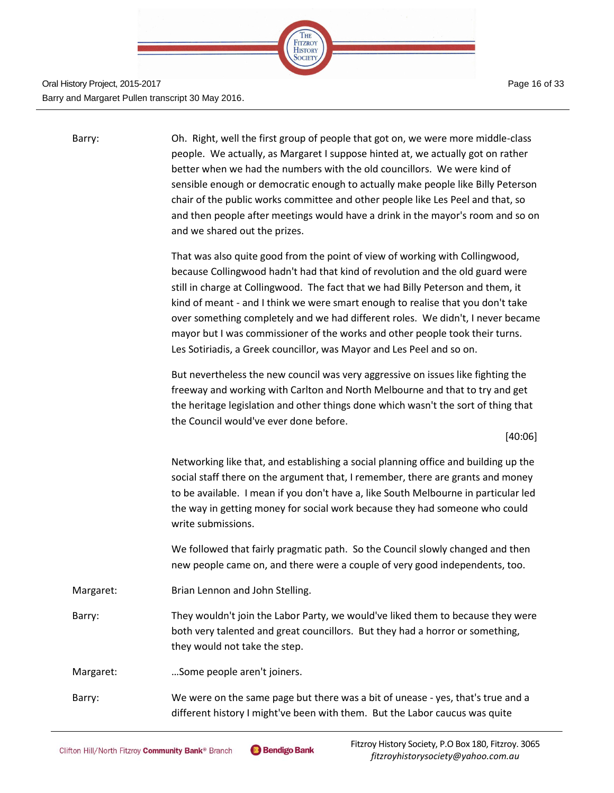

Page 16 of 33

| Barry:    | Oh. Right, well the first group of people that got on, we were more middle-class<br>people. We actually, as Margaret I suppose hinted at, we actually got on rather<br>better when we had the numbers with the old councillors. We were kind of<br>sensible enough or democratic enough to actually make people like Billy Peterson<br>chair of the public works committee and other people like Les Peel and that, so<br>and then people after meetings would have a drink in the mayor's room and so on<br>and we shared out the prizes.                                       |
|-----------|----------------------------------------------------------------------------------------------------------------------------------------------------------------------------------------------------------------------------------------------------------------------------------------------------------------------------------------------------------------------------------------------------------------------------------------------------------------------------------------------------------------------------------------------------------------------------------|
|           | That was also quite good from the point of view of working with Collingwood,<br>because Collingwood hadn't had that kind of revolution and the old guard were<br>still in charge at Collingwood. The fact that we had Billy Peterson and them, it<br>kind of meant - and I think we were smart enough to realise that you don't take<br>over something completely and we had different roles. We didn't, I never became<br>mayor but I was commissioner of the works and other people took their turns.<br>Les Sotiriadis, a Greek councillor, was Mayor and Les Peel and so on. |
|           | But nevertheless the new council was very aggressive on issues like fighting the<br>freeway and working with Carlton and North Melbourne and that to try and get<br>the heritage legislation and other things done which wasn't the sort of thing that<br>the Council would've ever done before.                                                                                                                                                                                                                                                                                 |
|           | [40:06]                                                                                                                                                                                                                                                                                                                                                                                                                                                                                                                                                                          |
|           | Networking like that, and establishing a social planning office and building up the<br>social staff there on the argument that, I remember, there are grants and money<br>to be available. I mean if you don't have a, like South Melbourne in particular led<br>the way in getting money for social work because they had someone who could<br>write submissions.                                                                                                                                                                                                               |
|           | We followed that fairly pragmatic path. So the Council slowly changed and then<br>new people came on, and there were a couple of very good independents, too.                                                                                                                                                                                                                                                                                                                                                                                                                    |
| Margaret: | Brian Lennon and John Stelling.                                                                                                                                                                                                                                                                                                                                                                                                                                                                                                                                                  |
| Barry:    | They wouldn't join the Labor Party, we would've liked them to because they were<br>both very talented and great councillors. But they had a horror or something,<br>they would not take the step.                                                                                                                                                                                                                                                                                                                                                                                |
| Margaret: | Some people aren't joiners.                                                                                                                                                                                                                                                                                                                                                                                                                                                                                                                                                      |
| Barry:    | We were on the same page but there was a bit of unease - yes, that's true and a<br>different history I might've been with them. But the Labor caucus was quite                                                                                                                                                                                                                                                                                                                                                                                                                   |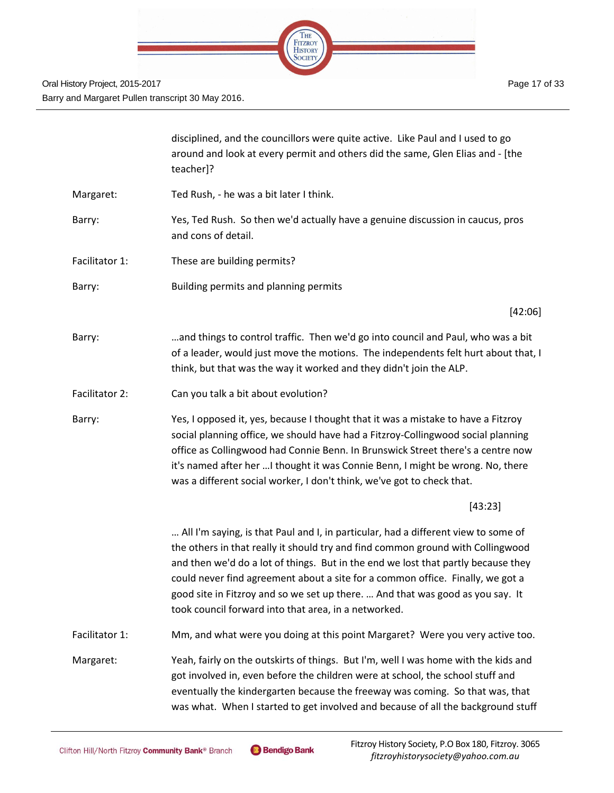

|                | disciplined, and the councillors were quite active. Like Paul and I used to go<br>around and look at every permit and others did the same, Glen Elias and - [the<br>teacher]?                                                                                                                                                                                                                                                                                                          |
|----------------|----------------------------------------------------------------------------------------------------------------------------------------------------------------------------------------------------------------------------------------------------------------------------------------------------------------------------------------------------------------------------------------------------------------------------------------------------------------------------------------|
| Margaret:      | Ted Rush, - he was a bit later I think.                                                                                                                                                                                                                                                                                                                                                                                                                                                |
| Barry:         | Yes, Ted Rush. So then we'd actually have a genuine discussion in caucus, pros<br>and cons of detail.                                                                                                                                                                                                                                                                                                                                                                                  |
| Facilitator 1: | These are building permits?                                                                                                                                                                                                                                                                                                                                                                                                                                                            |
| Barry:         | Building permits and planning permits                                                                                                                                                                                                                                                                                                                                                                                                                                                  |
|                | [42:06]                                                                                                                                                                                                                                                                                                                                                                                                                                                                                |
| Barry:         | and things to control traffic. Then we'd go into council and Paul, who was a bit<br>of a leader, would just move the motions. The independents felt hurt about that, I<br>think, but that was the way it worked and they didn't join the ALP.                                                                                                                                                                                                                                          |
| Facilitator 2: | Can you talk a bit about evolution?                                                                                                                                                                                                                                                                                                                                                                                                                                                    |
| Barry:         | Yes, I opposed it, yes, because I thought that it was a mistake to have a Fitzroy<br>social planning office, we should have had a Fitzroy-Collingwood social planning<br>office as Collingwood had Connie Benn. In Brunswick Street there's a centre now<br>it's named after her  I thought it was Connie Benn, I might be wrong. No, there<br>was a different social worker, I don't think, we've got to check that.                                                                  |
|                | [43:23]                                                                                                                                                                                                                                                                                                                                                                                                                                                                                |
|                | All I'm saying, is that Paul and I, in particular, had a different view to some of<br>the others in that really it should try and find common ground with Collingwood<br>and then we'd do a lot of things. But in the end we lost that partly because they<br>could never find agreement about a site for a common office. Finally, we got a<br>good site in Fitzroy and so we set up there.  And that was good as you say. It<br>took council forward into that area, in a networked. |
| Facilitator 1: | Mm, and what were you doing at this point Margaret? Were you very active too.                                                                                                                                                                                                                                                                                                                                                                                                          |
| Margaret:      | Yeah, fairly on the outskirts of things. But I'm, well I was home with the kids and<br>got involved in, even before the children were at school, the school stuff and<br>eventually the kindergarten because the freeway was coming. So that was, that<br>was what. When I started to get involved and because of all the background stuff                                                                                                                                             |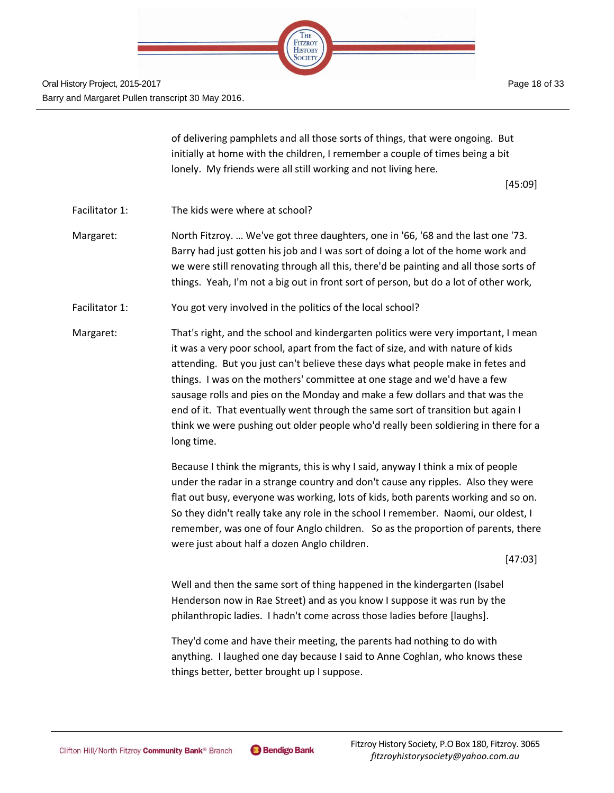

> of delivering pamphlets and all those sorts of things, that were ongoing. But initially at home with the children, I remember a couple of times being a bit lonely. My friends were all still working and not living here.

> > [45:09]

Facilitator 1: The kids were where at school?

Margaret: North Fitzroy. … We've got three daughters, one in '66, '68 and the last one '73. Barry had just gotten his job and I was sort of doing a lot of the home work and we were still renovating through all this, there'd be painting and all those sorts of things. Yeah, I'm not a big out in front sort of person, but do a lot of other work,

- Facilitator 1: You got very involved in the politics of the local school?
- Margaret: That's right, and the school and kindergarten politics were very important, I mean it was a very poor school, apart from the fact of size, and with nature of kids attending. But you just can't believe these days what people make in fetes and things. I was on the mothers' committee at one stage and we'd have a few sausage rolls and pies on the Monday and make a few dollars and that was the end of it. That eventually went through the same sort of transition but again I think we were pushing out older people who'd really been soldiering in there for a long time.

Because I think the migrants, this is why I said, anyway I think a mix of people under the radar in a strange country and don't cause any ripples. Also they were flat out busy, everyone was working, lots of kids, both parents working and so on. So they didn't really take any role in the school I remember. Naomi, our oldest, I remember, was one of four Anglo children. So as the proportion of parents, there were just about half a dozen Anglo children.

[47:03]

Well and then the same sort of thing happened in the kindergarten (Isabel Henderson now in Rae Street) and as you know I suppose it was run by the philanthropic ladies. I hadn't come across those ladies before [laughs].

They'd come and have their meeting, the parents had nothing to do with anything. I laughed one day because I said to Anne Coghlan, who knows these things better, better brought up I suppose.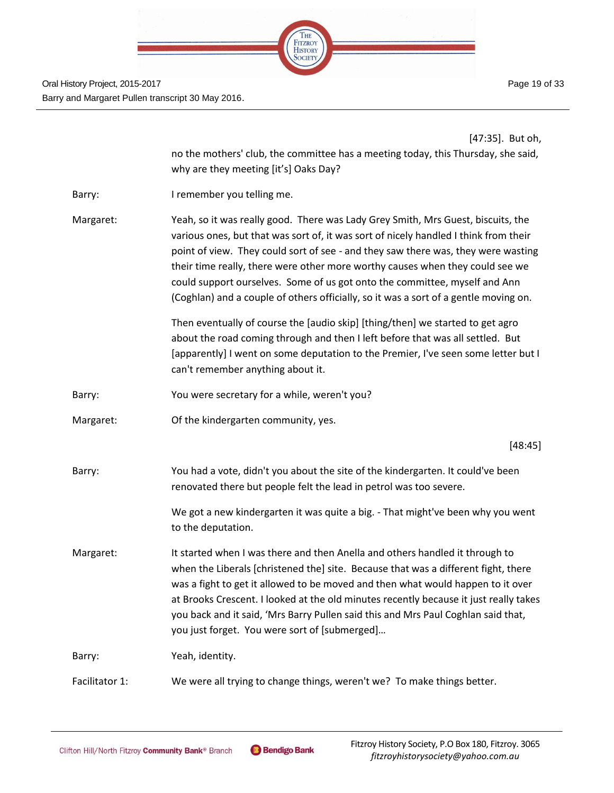

|                | [47:35]. But oh,                                                                                                                                                                                                                                                                                                                                                                                                                                                                                                     |
|----------------|----------------------------------------------------------------------------------------------------------------------------------------------------------------------------------------------------------------------------------------------------------------------------------------------------------------------------------------------------------------------------------------------------------------------------------------------------------------------------------------------------------------------|
|                | no the mothers' club, the committee has a meeting today, this Thursday, she said,<br>why are they meeting [it's] Oaks Day?                                                                                                                                                                                                                                                                                                                                                                                           |
| Barry:         | I remember you telling me.                                                                                                                                                                                                                                                                                                                                                                                                                                                                                           |
| Margaret:      | Yeah, so it was really good. There was Lady Grey Smith, Mrs Guest, biscuits, the<br>various ones, but that was sort of, it was sort of nicely handled I think from their<br>point of view. They could sort of see - and they saw there was, they were wasting<br>their time really, there were other more worthy causes when they could see we<br>could support ourselves. Some of us got onto the committee, myself and Ann<br>(Coghlan) and a couple of others officially, so it was a sort of a gentle moving on. |
|                | Then eventually of course the [audio skip] [thing/then] we started to get agro<br>about the road coming through and then I left before that was all settled. But<br>[apparently] I went on some deputation to the Premier, I've seen some letter but I<br>can't remember anything about it.                                                                                                                                                                                                                          |
| Barry:         | You were secretary for a while, weren't you?                                                                                                                                                                                                                                                                                                                                                                                                                                                                         |
| Margaret:      | Of the kindergarten community, yes.                                                                                                                                                                                                                                                                                                                                                                                                                                                                                  |
|                | [48:45]                                                                                                                                                                                                                                                                                                                                                                                                                                                                                                              |
| Barry:         | You had a vote, didn't you about the site of the kindergarten. It could've been<br>renovated there but people felt the lead in petrol was too severe.                                                                                                                                                                                                                                                                                                                                                                |
|                | We got a new kindergarten it was quite a big. - That might've been why you went<br>to the deputation.                                                                                                                                                                                                                                                                                                                                                                                                                |
| Margaret:      | It started when I was there and then Anella and others handled it through to<br>when the Liberals [christened the] site. Because that was a different fight, there<br>was a fight to get it allowed to be moved and then what would happen to it over<br>at Brooks Crescent. I looked at the old minutes recently because it just really takes<br>you back and it said, 'Mrs Barry Pullen said this and Mrs Paul Coghlan said that,<br>you just forget. You were sort of [submerged]                                 |
| Barry:         | Yeah, identity.                                                                                                                                                                                                                                                                                                                                                                                                                                                                                                      |
| Facilitator 1: | We were all trying to change things, weren't we? To make things better.                                                                                                                                                                                                                                                                                                                                                                                                                                              |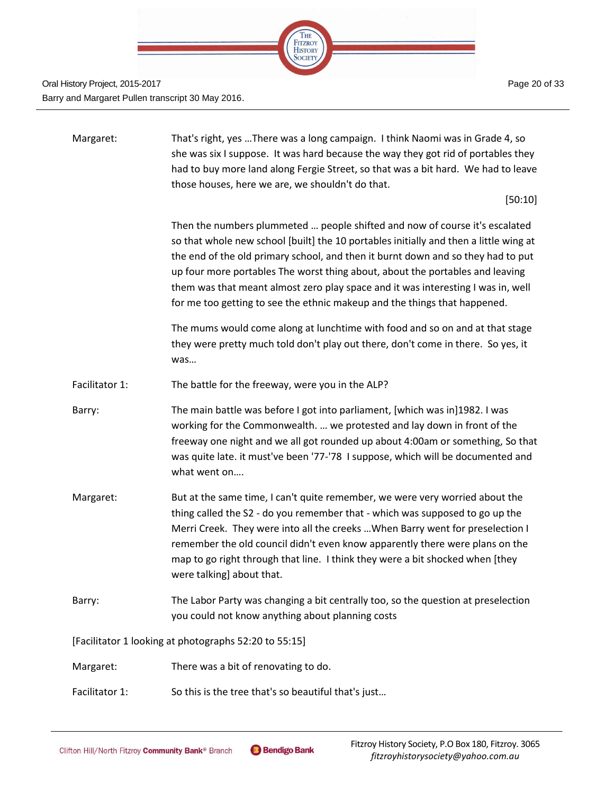

| Margaret:      | That's right, yes There was a long campaign. I think Naomi was in Grade 4, so<br>she was six I suppose. It was hard because the way they got rid of portables they<br>had to buy more land along Fergie Street, so that was a bit hard. We had to leave<br>those houses, here we are, we shouldn't do that.                                                                                                                                                                                                |
|----------------|------------------------------------------------------------------------------------------------------------------------------------------------------------------------------------------------------------------------------------------------------------------------------------------------------------------------------------------------------------------------------------------------------------------------------------------------------------------------------------------------------------|
|                | [50:10]                                                                                                                                                                                                                                                                                                                                                                                                                                                                                                    |
|                | Then the numbers plummeted  people shifted and now of course it's escalated<br>so that whole new school [built] the 10 portables initially and then a little wing at<br>the end of the old primary school, and then it burnt down and so they had to put<br>up four more portables The worst thing about, about the portables and leaving<br>them was that meant almost zero play space and it was interesting I was in, well<br>for me too getting to see the ethnic makeup and the things that happened. |
|                | The mums would come along at lunchtime with food and so on and at that stage<br>they were pretty much told don't play out there, don't come in there. So yes, it<br>was                                                                                                                                                                                                                                                                                                                                    |
| Facilitator 1: | The battle for the freeway, were you in the ALP?                                                                                                                                                                                                                                                                                                                                                                                                                                                           |
| Barry:         | The main battle was before I got into parliament, [which was in]1982. I was<br>working for the Commonwealth.  we protested and lay down in front of the<br>freeway one night and we all got rounded up about 4:00am or something, So that<br>was quite late. it must've been '77-'78 I suppose, which will be documented and<br>what went on                                                                                                                                                               |
| Margaret:      | But at the same time, I can't quite remember, we were very worried about the<br>thing called the S2 - do you remember that - which was supposed to go up the<br>Merri Creek. They were into all the creeks  When Barry went for preselection I<br>remember the old council didn't even know apparently there were plans on the<br>map to go right through that line. I think they were a bit shocked when [they<br>were talking] about that.                                                               |
| Barry:         | The Labor Party was changing a bit centrally too, so the question at preselection<br>you could not know anything about planning costs                                                                                                                                                                                                                                                                                                                                                                      |
|                | [Facilitator 1 looking at photographs 52:20 to 55:15]                                                                                                                                                                                                                                                                                                                                                                                                                                                      |
| Margaret:      | There was a bit of renovating to do.                                                                                                                                                                                                                                                                                                                                                                                                                                                                       |
| Facilitator 1: | So this is the tree that's so beautiful that's just                                                                                                                                                                                                                                                                                                                                                                                                                                                        |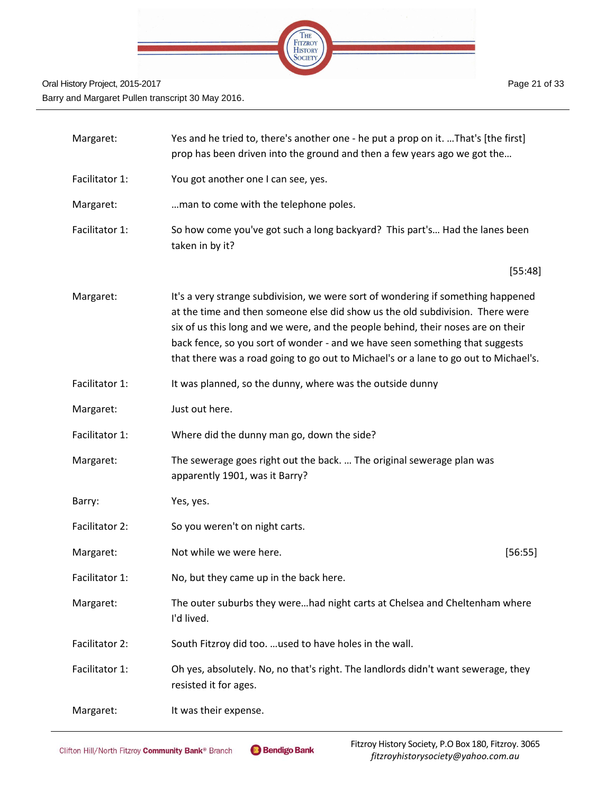

| Margaret:      | Yes and he tried to, there's another one - he put a prop on it. That's [the first]<br>prop has been driven into the ground and then a few years ago we got the                                                                                                                                                                                                                                                                |  |
|----------------|-------------------------------------------------------------------------------------------------------------------------------------------------------------------------------------------------------------------------------------------------------------------------------------------------------------------------------------------------------------------------------------------------------------------------------|--|
| Facilitator 1: | You got another one I can see, yes.                                                                                                                                                                                                                                                                                                                                                                                           |  |
| Margaret:      | man to come with the telephone poles.                                                                                                                                                                                                                                                                                                                                                                                         |  |
| Facilitator 1: | So how come you've got such a long backyard? This part's Had the lanes been<br>taken in by it?                                                                                                                                                                                                                                                                                                                                |  |
|                | [55:48]                                                                                                                                                                                                                                                                                                                                                                                                                       |  |
| Margaret:      | It's a very strange subdivision, we were sort of wondering if something happened<br>at the time and then someone else did show us the old subdivision. There were<br>six of us this long and we were, and the people behind, their noses are on their<br>back fence, so you sort of wonder - and we have seen something that suggests<br>that there was a road going to go out to Michael's or a lane to go out to Michael's. |  |
| Facilitator 1: | It was planned, so the dunny, where was the outside dunny                                                                                                                                                                                                                                                                                                                                                                     |  |
| Margaret:      | Just out here.                                                                                                                                                                                                                                                                                                                                                                                                                |  |
| Facilitator 1: | Where did the dunny man go, down the side?                                                                                                                                                                                                                                                                                                                                                                                    |  |
| Margaret:      | The sewerage goes right out the back.  The original sewerage plan was<br>apparently 1901, was it Barry?                                                                                                                                                                                                                                                                                                                       |  |
| Barry:         | Yes, yes.                                                                                                                                                                                                                                                                                                                                                                                                                     |  |
| Facilitator 2: | So you weren't on night carts.                                                                                                                                                                                                                                                                                                                                                                                                |  |
| Margaret:      | Not while we were here.<br>[56:55]                                                                                                                                                                                                                                                                                                                                                                                            |  |
| Facilitator 1: | No, but they came up in the back here.                                                                                                                                                                                                                                                                                                                                                                                        |  |
| Margaret:      | The outer suburbs they werehad night carts at Chelsea and Cheltenham where<br>I'd lived.                                                                                                                                                                                                                                                                                                                                      |  |
| Facilitator 2: | South Fitzroy did too.  used to have holes in the wall.                                                                                                                                                                                                                                                                                                                                                                       |  |
| Facilitator 1: | Oh yes, absolutely. No, no that's right. The landlords didn't want sewerage, they<br>resisted it for ages.                                                                                                                                                                                                                                                                                                                    |  |
| Margaret:      | It was their expense.                                                                                                                                                                                                                                                                                                                                                                                                         |  |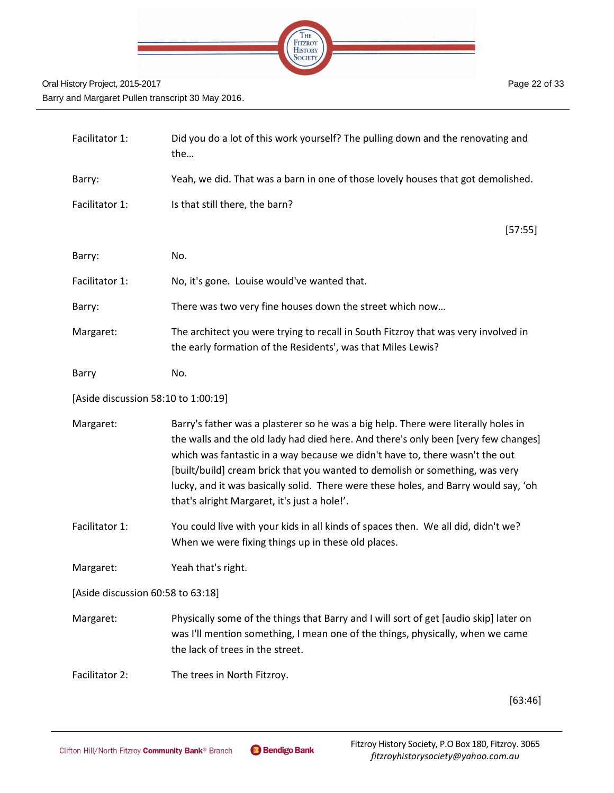

| Facilitator 1: | Did you do a lot of this work yourself? The pulling down and the renovating and<br>the                                                             |
|----------------|----------------------------------------------------------------------------------------------------------------------------------------------------|
| Barry:         | Yeah, we did. That was a barn in one of those lovely houses that got demolished.                                                                   |
| Facilitator 1: | Is that still there, the barn?                                                                                                                     |
|                | [57:55]                                                                                                                                            |
| Barry:         | No.                                                                                                                                                |
| Facilitator 1: | No, it's gone. Louise would've wanted that.                                                                                                        |
| Barry:         | There was two very fine houses down the street which now                                                                                           |
| Margaret:      | The architect you were trying to recall in South Fitzroy that was very involved in<br>the early formation of the Residents', was that Miles Lewis? |
| Barry          | No.                                                                                                                                                |

[Aside discussion 58:10 to 1:00:19]

| Margaret: | Barry's father was a plasterer so he was a big help. There were literally holes in  |
|-----------|-------------------------------------------------------------------------------------|
|           | the walls and the old lady had died here. And there's only been [very few changes]  |
|           | which was fantastic in a way because we didn't have to, there wasn't the out        |
|           | [built/build] cream brick that you wanted to demolish or something, was very        |
|           | lucky, and it was basically solid. There were these holes, and Barry would say, 'oh |
|           | that's alright Margaret, it's just a hole!'.                                        |

Facilitator 1: You could live with your kids in all kinds of spaces then. We all did, didn't we? When we were fixing things up in these old places.

Margaret: Yeah that's right.

[Aside discussion 60:58 to 63:18]

- Margaret: Physically some of the things that Barry and I will sort of get [audio skip] later on was I'll mention something, I mean one of the things, physically, when we came the lack of trees in the street.
- Facilitator 2: The trees in North Fitzroy.

[63:46]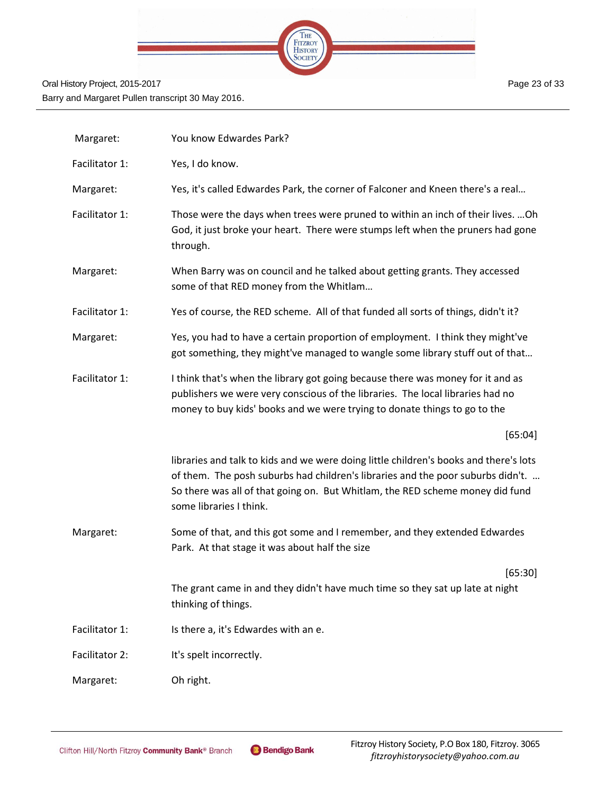

| Margaret:      | You know Edwardes Park?                                                                                                                                                                                                                                                              |
|----------------|--------------------------------------------------------------------------------------------------------------------------------------------------------------------------------------------------------------------------------------------------------------------------------------|
| Facilitator 1: | Yes, I do know.                                                                                                                                                                                                                                                                      |
| Margaret:      | Yes, it's called Edwardes Park, the corner of Falconer and Kneen there's a real                                                                                                                                                                                                      |
| Facilitator 1: | Those were the days when trees were pruned to within an inch of their lives.  Oh<br>God, it just broke your heart. There were stumps left when the pruners had gone<br>through.                                                                                                      |
| Margaret:      | When Barry was on council and he talked about getting grants. They accessed<br>some of that RED money from the Whitlam                                                                                                                                                               |
| Facilitator 1: | Yes of course, the RED scheme. All of that funded all sorts of things, didn't it?                                                                                                                                                                                                    |
| Margaret:      | Yes, you had to have a certain proportion of employment. I think they might've<br>got something, they might've managed to wangle some library stuff out of that                                                                                                                      |
| Facilitator 1: | I think that's when the library got going because there was money for it and as<br>publishers we were very conscious of the libraries. The local libraries had no<br>money to buy kids' books and we were trying to donate things to go to the                                       |
|                | [65:04]                                                                                                                                                                                                                                                                              |
|                | libraries and talk to kids and we were doing little children's books and there's lots<br>of them. The posh suburbs had children's libraries and the poor suburbs didn't.<br>So there was all of that going on. But Whitlam, the RED scheme money did fund<br>some libraries I think. |
| Margaret:      | Some of that, and this got some and I remember, and they extended Edwardes<br>Park. At that stage it was about half the size                                                                                                                                                         |
|                | [65:30]                                                                                                                                                                                                                                                                              |
|                | The grant came in and they didn't have much time so they sat up late at night<br>thinking of things.                                                                                                                                                                                 |
| Facilitator 1: | Is there a, it's Edwardes with an e.                                                                                                                                                                                                                                                 |
| Facilitator 2: | It's spelt incorrectly.                                                                                                                                                                                                                                                              |
| Margaret:      | Oh right.                                                                                                                                                                                                                                                                            |

Page 23 of 33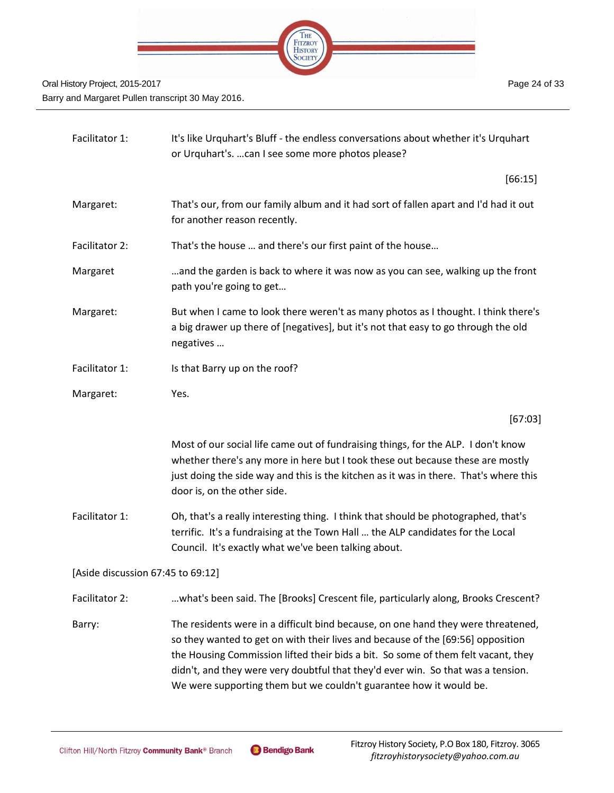

| Facilitator 1:                    | It's like Urquhart's Bluff - the endless conversations about whether it's Urquhart<br>or Urquhart's.  can I see some more photos please?                                                                                                                                                                                                                                                                            |
|-----------------------------------|---------------------------------------------------------------------------------------------------------------------------------------------------------------------------------------------------------------------------------------------------------------------------------------------------------------------------------------------------------------------------------------------------------------------|
|                                   | [66:15]                                                                                                                                                                                                                                                                                                                                                                                                             |
| Margaret:                         | That's our, from our family album and it had sort of fallen apart and I'd had it out<br>for another reason recently.                                                                                                                                                                                                                                                                                                |
| Facilitator 2:                    | That's the house  and there's our first paint of the house                                                                                                                                                                                                                                                                                                                                                          |
| Margaret                          | and the garden is back to where it was now as you can see, walking up the front<br>path you're going to get                                                                                                                                                                                                                                                                                                         |
| Margaret:                         | But when I came to look there weren't as many photos as I thought. I think there's<br>a big drawer up there of [negatives], but it's not that easy to go through the old<br>negatives                                                                                                                                                                                                                               |
| Facilitator 1:                    | Is that Barry up on the roof?                                                                                                                                                                                                                                                                                                                                                                                       |
| Margaret:                         | Yes.                                                                                                                                                                                                                                                                                                                                                                                                                |
|                                   | [67:03]                                                                                                                                                                                                                                                                                                                                                                                                             |
|                                   | Most of our social life came out of fundraising things, for the ALP. I don't know<br>whether there's any more in here but I took these out because these are mostly<br>just doing the side way and this is the kitchen as it was in there. That's where this<br>door is, on the other side.                                                                                                                         |
| Facilitator 1:                    | Oh, that's a really interesting thing. I think that should be photographed, that's<br>terrific. It's a fundraising at the Town Hall  the ALP candidates for the Local<br>Council. It's exactly what we've been talking about.                                                                                                                                                                                       |
| [Aside discussion 67:45 to 69:12] |                                                                                                                                                                                                                                                                                                                                                                                                                     |
| Facilitator 2:                    | what's been said. The [Brooks] Crescent file, particularly along, Brooks Crescent?                                                                                                                                                                                                                                                                                                                                  |
| Barry:                            | The residents were in a difficult bind because, on one hand they were threatened,<br>so they wanted to get on with their lives and because of the [69:56] opposition<br>the Housing Commission lifted their bids a bit. So some of them felt vacant, they<br>didn't, and they were very doubtful that they'd ever win. So that was a tension.<br>We were supporting them but we couldn't guarantee how it would be. |
|                                   |                                                                                                                                                                                                                                                                                                                                                                                                                     |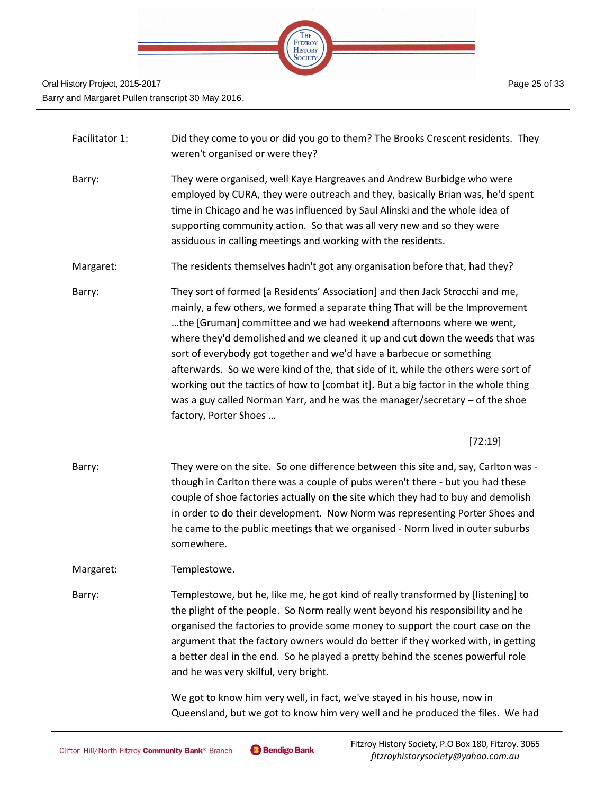

| Facilitator 1: | Did they come to you or did you go to them? The Brooks Crescent residents. They<br>weren't organised or were they?                                                                                                                                                                                                                                                                                                                                                                                                                                                                                                                                                                 |
|----------------|------------------------------------------------------------------------------------------------------------------------------------------------------------------------------------------------------------------------------------------------------------------------------------------------------------------------------------------------------------------------------------------------------------------------------------------------------------------------------------------------------------------------------------------------------------------------------------------------------------------------------------------------------------------------------------|
| Barry:         | They were organised, well Kaye Hargreaves and Andrew Burbidge who were<br>employed by CURA, they were outreach and they, basically Brian was, he'd spent<br>time in Chicago and he was influenced by Saul Alinski and the whole idea of<br>supporting community action. So that was all very new and so they were<br>assiduous in calling meetings and working with the residents.                                                                                                                                                                                                                                                                                                 |
| Margaret:      | The residents themselves hadn't got any organisation before that, had they?                                                                                                                                                                                                                                                                                                                                                                                                                                                                                                                                                                                                        |
| Barry:         | They sort of formed [a Residents' Association] and then Jack Strocchi and me,<br>mainly, a few others, we formed a separate thing That will be the Improvement<br>the [Gruman] committee and we had weekend afternoons where we went,<br>where they'd demolished and we cleaned it up and cut down the weeds that was<br>sort of everybody got together and we'd have a barbecue or something<br>afterwards. So we were kind of the, that side of it, while the others were sort of<br>working out the tactics of how to [combat it]. But a big factor in the whole thing<br>was a guy called Norman Yarr, and he was the manager/secretary - of the shoe<br>factory, Porter Shoes |
|                | [72:19]                                                                                                                                                                                                                                                                                                                                                                                                                                                                                                                                                                                                                                                                            |
| Barry:         | They were on the site. So one difference between this site and, say, Carlton was -<br>though in Carlton there was a couple of pubs weren't there - but you had these<br>couple of shoe factories actually on the site which they had to buy and demolish<br>in order to do their development. Now Norm was representing Porter Shoes and<br>he came to the public meetings that we organised - Norm lived in outer suburbs<br>somewhere.                                                                                                                                                                                                                                           |
| Margaret:      | Templestowe.                                                                                                                                                                                                                                                                                                                                                                                                                                                                                                                                                                                                                                                                       |
| Barry:         | Templestowe, but he, like me, he got kind of really transformed by [listening] to<br>the plight of the people. So Norm really went beyond his responsibility and he<br>organised the factories to provide some money to support the court case on the<br>argument that the factory owners would do better if they worked with, in getting<br>a better deal in the end. So he played a pretty behind the scenes powerful role<br>and he was very skilful, very bright.                                                                                                                                                                                                              |
|                | We got to know him very well, in fact, we've stayed in his house, now in<br>Queensland, but we got to know him very well and he produced the files. We had                                                                                                                                                                                                                                                                                                                                                                                                                                                                                                                         |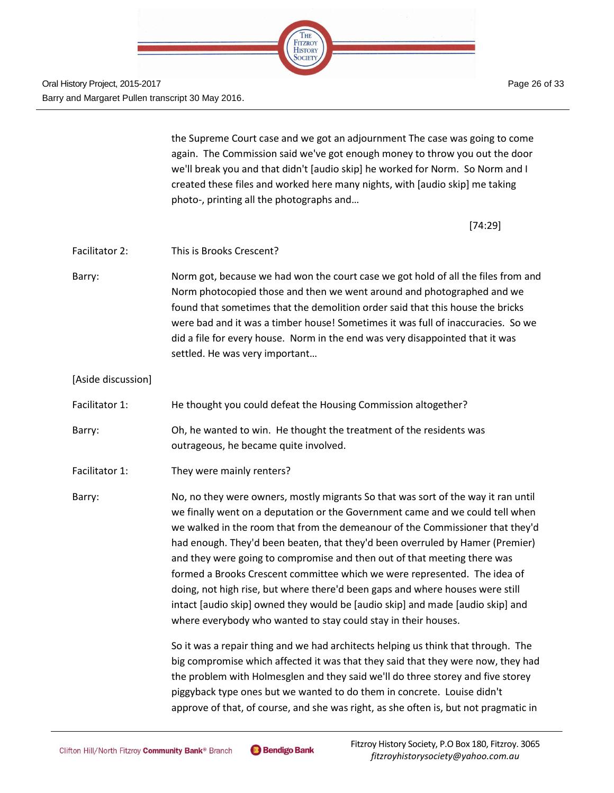

Page 26 of 33

the Supreme Court case and we got an adjournment The case was going to come again. The Commission said we've got enough money to throw you out the door we'll break you and that didn't [audio skip] he worked for Norm. So Norm and I created these files and worked here many nights, with [audio skip] me taking photo-, printing all the photographs and…

[74:29]

- Facilitator 2: This is Brooks Crescent?
- Barry: Norm got, because we had won the court case we got hold of all the files from and Norm photocopied those and then we went around and photographed and we found that sometimes that the demolition order said that this house the bricks were bad and it was a timber house! Sometimes it was full of inaccuracies. So we did a file for every house. Norm in the end was very disappointed that it was settled. He was very important…

[Aside discussion]

- Facilitator 1: He thought you could defeat the Housing Commission altogether?
- Barry: Oh, he wanted to win. He thought the treatment of the residents was outrageous, he became quite involved.
- Facilitator 1: They were mainly renters?

Barry: No, no they were owners, mostly migrants So that was sort of the way it ran until we finally went on a deputation or the Government came and we could tell when we walked in the room that from the demeanour of the Commissioner that they'd had enough. They'd been beaten, that they'd been overruled by Hamer (Premier) and they were going to compromise and then out of that meeting there was formed a Brooks Crescent committee which we were represented. The idea of doing, not high rise, but where there'd been gaps and where houses were still intact [audio skip] owned they would be [audio skip] and made [audio skip] and where everybody who wanted to stay could stay in their houses.

> So it was a repair thing and we had architects helping us think that through. The big compromise which affected it was that they said that they were now, they had the problem with Holmesglen and they said we'll do three storey and five storey piggyback type ones but we wanted to do them in concrete. Louise didn't approve of that, of course, and she was right, as she often is, but not pragmatic in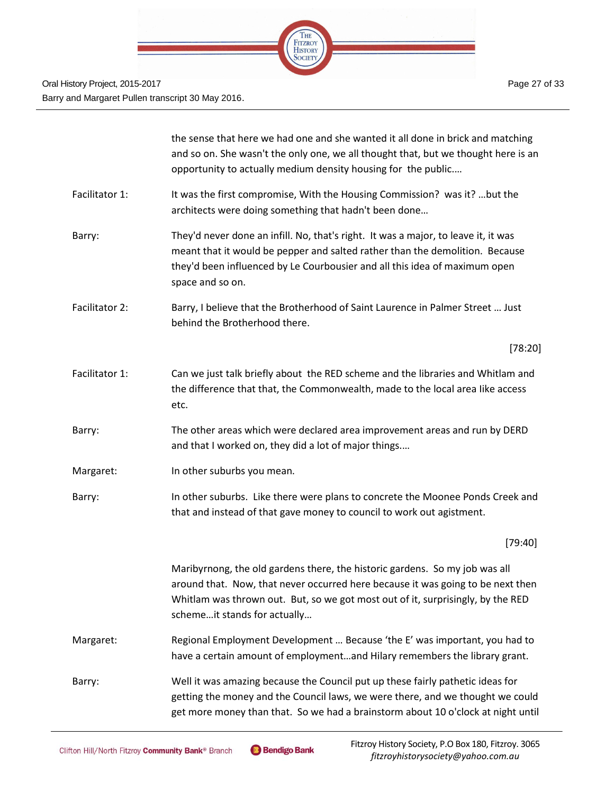

|                | the sense that here we had one and she wanted it all done in brick and matching<br>and so on. She wasn't the only one, we all thought that, but we thought here is an<br>opportunity to actually medium density housing for the public                                            |
|----------------|-----------------------------------------------------------------------------------------------------------------------------------------------------------------------------------------------------------------------------------------------------------------------------------|
| Facilitator 1: | It was the first compromise, With the Housing Commission? was it?  but the<br>architects were doing something that hadn't been done                                                                                                                                               |
| Barry:         | They'd never done an infill. No, that's right. It was a major, to leave it, it was<br>meant that it would be pepper and salted rather than the demolition. Because<br>they'd been influenced by Le Courbousier and all this idea of maximum open<br>space and so on.              |
| Facilitator 2: | Barry, I believe that the Brotherhood of Saint Laurence in Palmer Street  Just<br>behind the Brotherhood there.                                                                                                                                                                   |
|                | [78:20]                                                                                                                                                                                                                                                                           |
| Facilitator 1: | Can we just talk briefly about the RED scheme and the libraries and Whitlam and<br>the difference that that, the Commonwealth, made to the local area like access<br>etc.                                                                                                         |
| Barry:         | The other areas which were declared area improvement areas and run by DERD<br>and that I worked on, they did a lot of major things                                                                                                                                                |
| Margaret:      | In other suburbs you mean.                                                                                                                                                                                                                                                        |
| Barry:         | In other suburbs. Like there were plans to concrete the Moonee Ponds Creek and<br>that and instead of that gave money to council to work out agistment.                                                                                                                           |
|                | [79:40]                                                                                                                                                                                                                                                                           |
|                | Maribyrnong, the old gardens there, the historic gardens. So my job was all<br>around that. Now, that never occurred here because it was going to be next then<br>Whitlam was thrown out. But, so we got most out of it, surprisingly, by the RED<br>schemeit stands for actually |
| Margaret:      | Regional Employment Development  Because 'the E' was important, you had to<br>have a certain amount of employmentand Hilary remembers the library grant.                                                                                                                          |
| Barry:         | Well it was amazing because the Council put up these fairly pathetic ideas for<br>getting the money and the Council laws, we were there, and we thought we could<br>get more money than that. So we had a brainstorm about 10 o'clock at night until                              |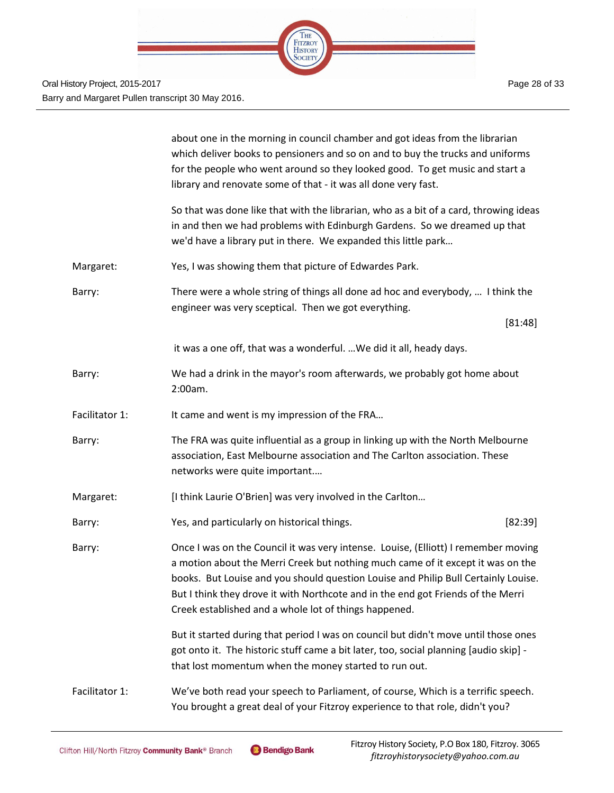

|                | about one in the morning in council chamber and got ideas from the librarian<br>which deliver books to pensioners and so on and to buy the trucks and uniforms<br>for the people who went around so they looked good. To get music and start a<br>library and renovate some of that - it was all done very fast.                                                                                         |
|----------------|----------------------------------------------------------------------------------------------------------------------------------------------------------------------------------------------------------------------------------------------------------------------------------------------------------------------------------------------------------------------------------------------------------|
|                | So that was done like that with the librarian, who as a bit of a card, throwing ideas<br>in and then we had problems with Edinburgh Gardens. So we dreamed up that<br>we'd have a library put in there. We expanded this little park                                                                                                                                                                     |
| Margaret:      | Yes, I was showing them that picture of Edwardes Park.                                                                                                                                                                                                                                                                                                                                                   |
| Barry:         | There were a whole string of things all done ad hoc and everybody,  I think the<br>engineer was very sceptical. Then we got everything.                                                                                                                                                                                                                                                                  |
|                | [81:48]                                                                                                                                                                                                                                                                                                                                                                                                  |
|                | it was a one off, that was a wonderful.  We did it all, heady days.                                                                                                                                                                                                                                                                                                                                      |
| Barry:         | We had a drink in the mayor's room afterwards, we probably got home about<br>2:00am.                                                                                                                                                                                                                                                                                                                     |
| Facilitator 1: | It came and went is my impression of the FRA                                                                                                                                                                                                                                                                                                                                                             |
| Barry:         | The FRA was quite influential as a group in linking up with the North Melbourne<br>association, East Melbourne association and The Carlton association. These<br>networks were quite important                                                                                                                                                                                                           |
| Margaret:      | [I think Laurie O'Brien] was very involved in the Carlton                                                                                                                                                                                                                                                                                                                                                |
| Barry:         | Yes, and particularly on historical things.<br>[82:39]                                                                                                                                                                                                                                                                                                                                                   |
| Barry:         | Once I was on the Council it was very intense. Louise, (Elliott) I remember moving<br>a motion about the Merri Creek but nothing much came of it except it was on the<br>books. But Louise and you should question Louise and Philip Bull Certainly Louise.<br>But I think they drove it with Northcote and in the end got Friends of the Merri<br>Creek established and a whole lot of things happened. |
|                | But it started during that period I was on council but didn't move until those ones<br>got onto it. The historic stuff came a bit later, too, social planning [audio skip] -<br>that lost momentum when the money started to run out.                                                                                                                                                                    |
| Facilitator 1: | We've both read your speech to Parliament, of course, Which is a terrific speech.<br>You brought a great deal of your Fitzroy experience to that role, didn't you?                                                                                                                                                                                                                                       |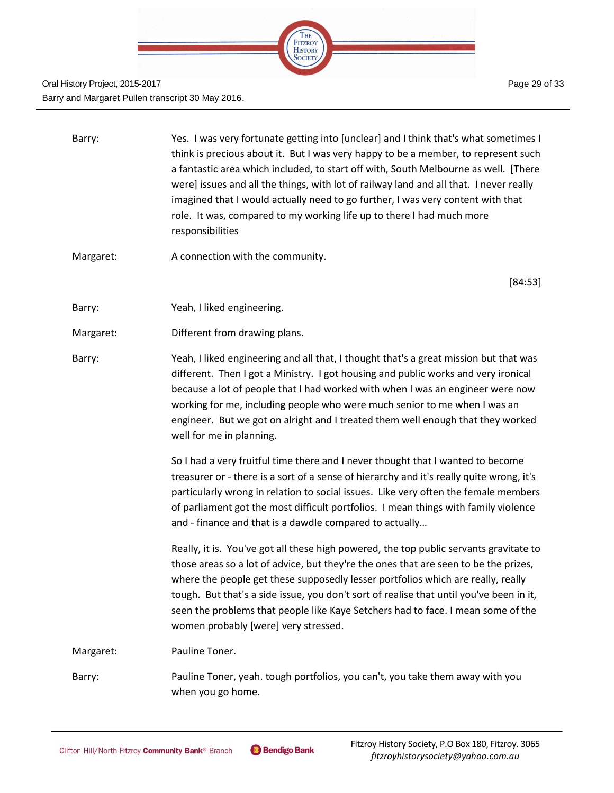

| Barry:    | Yes. I was very fortunate getting into [unclear] and I think that's what sometimes I<br>think is precious about it. But I was very happy to be a member, to represent such<br>a fantastic area which included, to start off with, South Melbourne as well. [There<br>were] issues and all the things, with lot of railway land and all that. I never really<br>imagined that I would actually need to go further, I was very content with that<br>role. It was, compared to my working life up to there I had much more<br>responsibilities |
|-----------|---------------------------------------------------------------------------------------------------------------------------------------------------------------------------------------------------------------------------------------------------------------------------------------------------------------------------------------------------------------------------------------------------------------------------------------------------------------------------------------------------------------------------------------------|
| Margaret: | A connection with the community.                                                                                                                                                                                                                                                                                                                                                                                                                                                                                                            |
|           | [84:53]                                                                                                                                                                                                                                                                                                                                                                                                                                                                                                                                     |
| Barry:    | Yeah, I liked engineering.                                                                                                                                                                                                                                                                                                                                                                                                                                                                                                                  |
| Margaret: | Different from drawing plans.                                                                                                                                                                                                                                                                                                                                                                                                                                                                                                               |
| Barry:    | Yeah, I liked engineering and all that, I thought that's a great mission but that was<br>different. Then I got a Ministry. I got housing and public works and very ironical<br>because a lot of people that I had worked with when I was an engineer were now<br>working for me, including people who were much senior to me when I was an<br>engineer. But we got on alright and I treated them well enough that they worked<br>well for me in planning.                                                                                   |
|           | So I had a very fruitful time there and I never thought that I wanted to become<br>treasurer or - there is a sort of a sense of hierarchy and it's really quite wrong, it's<br>particularly wrong in relation to social issues. Like very often the female members<br>of parliament got the most difficult portfolios. I mean things with family violence<br>and - finance and that is a dawdle compared to actually                                                                                                                        |
|           | Really, it is. You've got all these high powered, the top public servants gravitate to<br>those areas so a lot of advice, but they're the ones that are seen to be the prizes,<br>where the people get these supposedly lesser portfolios which are really, really<br>tough. But that's a side issue, you don't sort of realise that until you've been in it,<br>seen the problems that people like Kaye Setchers had to face. I mean some of the<br>women probably [were] very stressed.                                                   |
| Margaret: | Pauline Toner.                                                                                                                                                                                                                                                                                                                                                                                                                                                                                                                              |
| Barry:    | Pauline Toner, yeah. tough portfolios, you can't, you take them away with you<br>when you go home.                                                                                                                                                                                                                                                                                                                                                                                                                                          |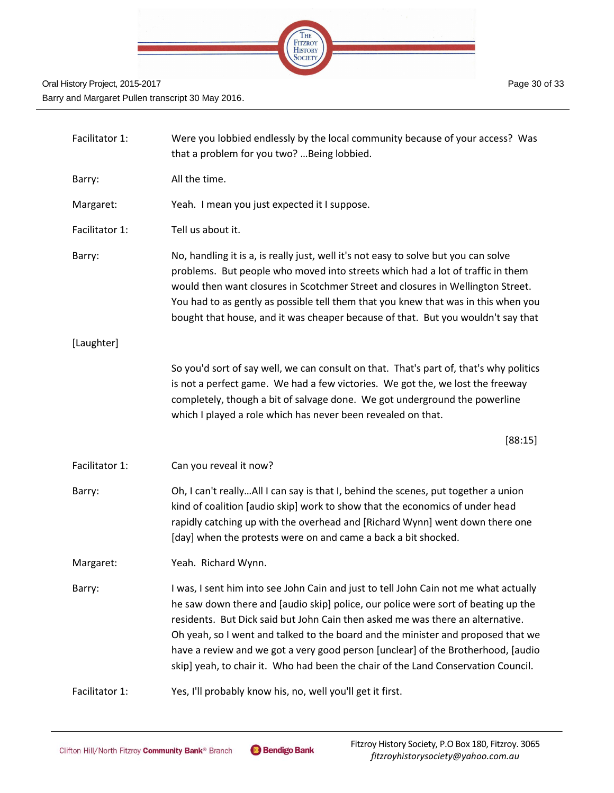

| Facilitator 1: | Were you lobbied endlessly by the local community because of your access? Was<br>that a problem for you two?  Being lobbied.                                                                                                                                                                                                                                                                                                                                                                                             |
|----------------|--------------------------------------------------------------------------------------------------------------------------------------------------------------------------------------------------------------------------------------------------------------------------------------------------------------------------------------------------------------------------------------------------------------------------------------------------------------------------------------------------------------------------|
| Barry:         | All the time.                                                                                                                                                                                                                                                                                                                                                                                                                                                                                                            |
| Margaret:      | Yeah. I mean you just expected it I suppose.                                                                                                                                                                                                                                                                                                                                                                                                                                                                             |
| Facilitator 1: | Tell us about it.                                                                                                                                                                                                                                                                                                                                                                                                                                                                                                        |
| Barry:         | No, handling it is a, is really just, well it's not easy to solve but you can solve<br>problems. But people who moved into streets which had a lot of traffic in them<br>would then want closures in Scotchmer Street and closures in Wellington Street.<br>You had to as gently as possible tell them that you knew that was in this when you<br>bought that house, and it was cheaper because of that. But you wouldn't say that                                                                                       |
| [Laughter]     |                                                                                                                                                                                                                                                                                                                                                                                                                                                                                                                          |
|                | So you'd sort of say well, we can consult on that. That's part of, that's why politics<br>is not a perfect game. We had a few victories. We got the, we lost the freeway<br>completely, though a bit of salvage done. We got underground the powerline<br>which I played a role which has never been revealed on that.                                                                                                                                                                                                   |
|                | [88:15]                                                                                                                                                                                                                                                                                                                                                                                                                                                                                                                  |
| Facilitator 1: | Can you reveal it now?                                                                                                                                                                                                                                                                                                                                                                                                                                                                                                   |
| Barry:         | Oh, I can't reallyAll I can say is that I, behind the scenes, put together a union<br>kind of coalition [audio skip] work to show that the economics of under head<br>rapidly catching up with the overhead and [Richard Wynn] went down there one<br>[day] when the protests were on and came a back a bit shocked.                                                                                                                                                                                                     |
| Margaret:      | Yeah. Richard Wynn.                                                                                                                                                                                                                                                                                                                                                                                                                                                                                                      |
| Barry:         | I was, I sent him into see John Cain and just to tell John Cain not me what actually<br>he saw down there and [audio skip] police, our police were sort of beating up the<br>residents. But Dick said but John Cain then asked me was there an alternative.<br>Oh yeah, so I went and talked to the board and the minister and proposed that we<br>have a review and we got a very good person [unclear] of the Brotherhood, [audio<br>skip] yeah, to chair it. Who had been the chair of the Land Conservation Council. |
| Facilitator 1: | Yes, I'll probably know his, no, well you'll get it first.                                                                                                                                                                                                                                                                                                                                                                                                                                                               |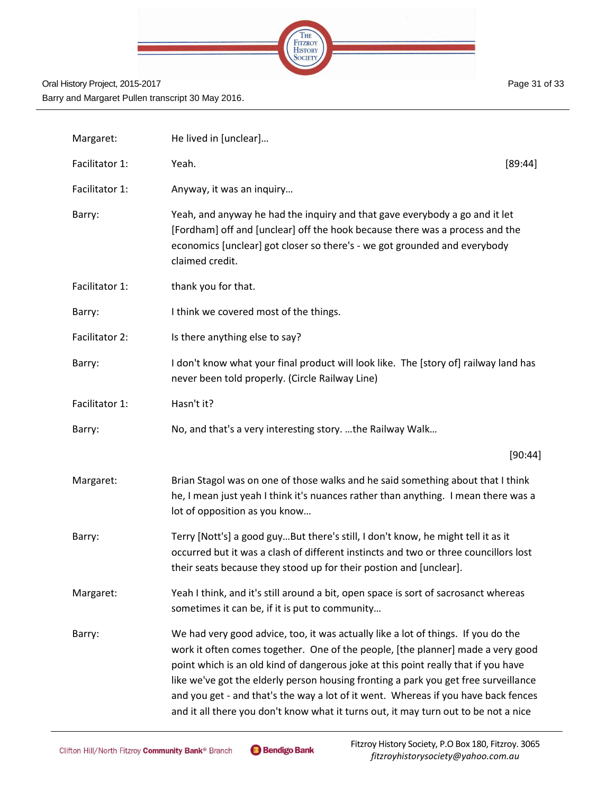

| Margaret:      | He lived in [unclear]                                                                                                                                                                                                                                                                                                                                                                                                                                                                                                          |         |
|----------------|--------------------------------------------------------------------------------------------------------------------------------------------------------------------------------------------------------------------------------------------------------------------------------------------------------------------------------------------------------------------------------------------------------------------------------------------------------------------------------------------------------------------------------|---------|
| Facilitator 1: | Yeah.                                                                                                                                                                                                                                                                                                                                                                                                                                                                                                                          | [89:44] |
| Facilitator 1: | Anyway, it was an inquiry                                                                                                                                                                                                                                                                                                                                                                                                                                                                                                      |         |
| Barry:         | Yeah, and anyway he had the inquiry and that gave everybody a go and it let<br>[Fordham] off and [unclear] off the hook because there was a process and the<br>economics [unclear] got closer so there's - we got grounded and everybody<br>claimed credit.                                                                                                                                                                                                                                                                    |         |
| Facilitator 1: | thank you for that.                                                                                                                                                                                                                                                                                                                                                                                                                                                                                                            |         |
| Barry:         | I think we covered most of the things.                                                                                                                                                                                                                                                                                                                                                                                                                                                                                         |         |
| Facilitator 2: | Is there anything else to say?                                                                                                                                                                                                                                                                                                                                                                                                                                                                                                 |         |
| Barry:         | I don't know what your final product will look like. The [story of] railway land has<br>never been told properly. (Circle Railway Line)                                                                                                                                                                                                                                                                                                                                                                                        |         |
| Facilitator 1: | Hasn't it?                                                                                                                                                                                                                                                                                                                                                                                                                                                                                                                     |         |
| Barry:         | No, and that's a very interesting story. the Railway Walk                                                                                                                                                                                                                                                                                                                                                                                                                                                                      |         |
|                |                                                                                                                                                                                                                                                                                                                                                                                                                                                                                                                                | [90:44] |
| Margaret:      | Brian Stagol was on one of those walks and he said something about that I think<br>he, I mean just yeah I think it's nuances rather than anything. I mean there was a<br>lot of opposition as you know                                                                                                                                                                                                                                                                                                                         |         |
| Barry:         | Terry [Nott's] a good guyBut there's still, I don't know, he might tell it as it<br>occurred but it was a clash of different instincts and two or three councillors lost<br>their seats because they stood up for their postion and [unclear].                                                                                                                                                                                                                                                                                 |         |
| Margaret:      | Yeah I think, and it's still around a bit, open space is sort of sacrosanct whereas<br>sometimes it can be, if it is put to community                                                                                                                                                                                                                                                                                                                                                                                          |         |
| Barry:         | We had very good advice, too, it was actually like a lot of things. If you do the<br>work it often comes together. One of the people, [the planner] made a very good<br>point which is an old kind of dangerous joke at this point really that if you have<br>like we've got the elderly person housing fronting a park you get free surveillance<br>and you get - and that's the way a lot of it went. Whereas if you have back fences<br>and it all there you don't know what it turns out, it may turn out to be not a nice |         |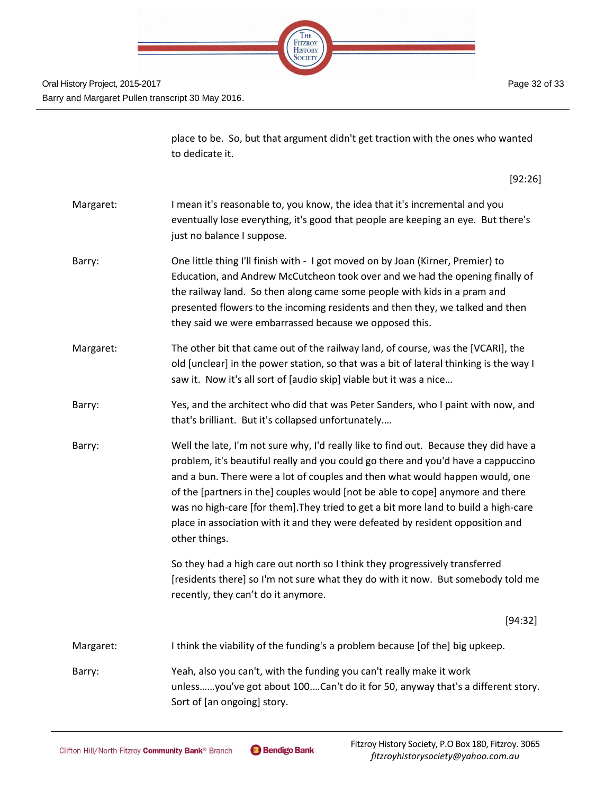

Page 32 of 33

|           | place to be. So, but that argument didn't get traction with the ones who wanted<br>to dedicate it.                                                                                                                                                                                                                                                                                                                                                                                                                                     |
|-----------|----------------------------------------------------------------------------------------------------------------------------------------------------------------------------------------------------------------------------------------------------------------------------------------------------------------------------------------------------------------------------------------------------------------------------------------------------------------------------------------------------------------------------------------|
|           | [92:26]                                                                                                                                                                                                                                                                                                                                                                                                                                                                                                                                |
| Margaret: | I mean it's reasonable to, you know, the idea that it's incremental and you<br>eventually lose everything, it's good that people are keeping an eye. But there's<br>just no balance I suppose.                                                                                                                                                                                                                                                                                                                                         |
| Barry:    | One little thing I'll finish with - I got moved on by Joan (Kirner, Premier) to<br>Education, and Andrew McCutcheon took over and we had the opening finally of<br>the railway land. So then along came some people with kids in a pram and<br>presented flowers to the incoming residents and then they, we talked and then<br>they said we were embarrassed because we opposed this.                                                                                                                                                 |
| Margaret: | The other bit that came out of the railway land, of course, was the [VCARI], the<br>old [unclear] in the power station, so that was a bit of lateral thinking is the way I<br>saw it. Now it's all sort of [audio skip] viable but it was a nice                                                                                                                                                                                                                                                                                       |
| Barry:    | Yes, and the architect who did that was Peter Sanders, who I paint with now, and<br>that's brilliant. But it's collapsed unfortunately                                                                                                                                                                                                                                                                                                                                                                                                 |
| Barry:    | Well the late, I'm not sure why, I'd really like to find out. Because they did have a<br>problem, it's beautiful really and you could go there and you'd have a cappuccino<br>and a bun. There were a lot of couples and then what would happen would, one<br>of the [partners in the] couples would [not be able to cope] anymore and there<br>was no high-care [for them]. They tried to get a bit more land to build a high-care<br>place in association with it and they were defeated by resident opposition and<br>other things. |
|           | So they had a high care out north so I think they progressively transferred<br>[residents there] so I'm not sure what they do with it now. But somebody told me<br>recently, they can't do it anymore.                                                                                                                                                                                                                                                                                                                                 |
|           | [94:32]                                                                                                                                                                                                                                                                                                                                                                                                                                                                                                                                |
| Margaret: | I think the viability of the funding's a problem because [of the] big upkeep.                                                                                                                                                                                                                                                                                                                                                                                                                                                          |
| Barry:    | Yeah, also you can't, with the funding you can't really make it work<br>unlessyou've got about 100Can't do it for 50, anyway that's a different story.<br>Sort of [an ongoing] story.                                                                                                                                                                                                                                                                                                                                                  |